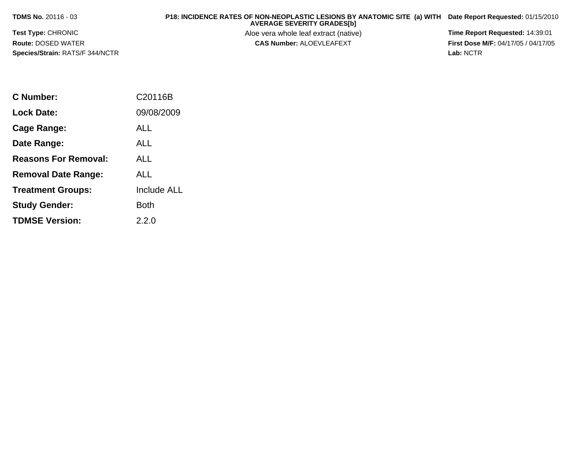**TDMS No.** 20116 - 03

## **P18: INCIDENCE RATES OF NON-NEOPLASTIC LESIONS BY ANATOMIC SITE (a) WITH AVERAGE SEVERITY GRADES[b] Date Report Requested:** 01/15/2010

**Test Type:** CHRONIC**Route:** DOSED WATER**Species/Strain:** RATS/F 344/NCTR Aloe vera whole leaf extract (native) **Time Report Requested:** 14:39:01<br>**CAS Number:** ALOEVLEAFEXT **The State of the First Dose M/F:** 04/17/05 / 04/17/05

**First Dose M/F:** 04/17/05 / 04/17/05<br>Lab: NCTR **Lab:** NCTR

| C Number:                   | C20116B            |
|-----------------------------|--------------------|
| Lock Date:                  | 09/08/2009         |
| Cage Range:                 | ALL                |
| Date Range:                 | ALL                |
| <b>Reasons For Removal:</b> | ALL                |
| <b>Removal Date Range:</b>  | AI I               |
| <b>Treatment Groups:</b>    | <b>Include ALL</b> |
| <b>Study Gender:</b>        | Both               |
| <b>TDMSE Version:</b>       | 2.2.0              |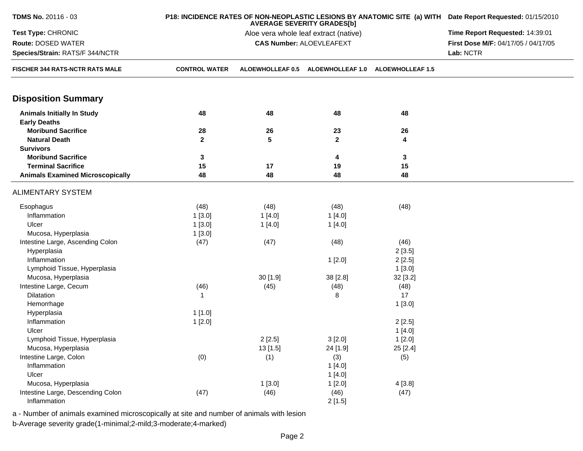| <b>TDMS No. 20116 - 03</b>                               |                      | P18: INCIDENCE RATES OF NON-NEOPLASTIC LESIONS BY ANATOMIC SITE (a) WITH Date Report Requested: 01/15/2010 |                                   |          |                                     |  |
|----------------------------------------------------------|----------------------|------------------------------------------------------------------------------------------------------------|-----------------------------------|----------|-------------------------------------|--|
| Test Type: CHRONIC                                       |                      | Aloe vera whole leaf extract (native)                                                                      |                                   |          |                                     |  |
| Route: DOSED WATER                                       |                      |                                                                                                            | <b>CAS Number: ALOEVLEAFEXT</b>   |          | First Dose M/F: 04/17/05 / 04/17/05 |  |
| Species/Strain: RATS/F 344/NCTR                          |                      |                                                                                                            |                                   |          | Lab: NCTR                           |  |
| FISCHER 344 RATS-NCTR RATS MALE                          | <b>CONTROL WATER</b> | ALOEWHOLLEAF 0.5                                                                                           | ALOEWHOLLEAF 1.0 ALOEWHOLLEAF 1.5 |          |                                     |  |
| <b>Disposition Summary</b>                               |                      |                                                                                                            |                                   |          |                                     |  |
| <b>Animals Initially In Study</b><br><b>Early Deaths</b> | 48                   | 48                                                                                                         | 48                                | 48       |                                     |  |
| <b>Moribund Sacrifice</b>                                | 28                   | 26                                                                                                         | 23                                | 26       |                                     |  |
| <b>Natural Death</b>                                     | $\mathbf{2}$         | 5                                                                                                          | $\mathbf{2}$                      | 4        |                                     |  |
| <b>Survivors</b>                                         |                      |                                                                                                            |                                   |          |                                     |  |
| <b>Moribund Sacrifice</b>                                | 3                    |                                                                                                            | 4                                 | 3        |                                     |  |
| <b>Terminal Sacrifice</b>                                | 15                   | 17                                                                                                         | 19                                | 15       |                                     |  |
| <b>Animals Examined Microscopically</b>                  | 48                   | 48                                                                                                         | 48                                | 48       |                                     |  |
| <b>ALIMENTARY SYSTEM</b>                                 |                      |                                                                                                            |                                   |          |                                     |  |
| Esophagus                                                | (48)                 | (48)                                                                                                       | (48)                              | (48)     |                                     |  |
| Inflammation                                             | 1[3.0]               | 1[4.0]                                                                                                     | 1[4.0]                            |          |                                     |  |
| Ulcer                                                    | 1[3.0]               | 1[4.0]                                                                                                     | 1[4.0]                            |          |                                     |  |
| Mucosa, Hyperplasia                                      | 1[3.0]               |                                                                                                            |                                   |          |                                     |  |
| Intestine Large, Ascending Colon                         | (47)                 | (47)                                                                                                       | (48)                              | (46)     |                                     |  |
| Hyperplasia                                              |                      |                                                                                                            |                                   | 2[3.5]   |                                     |  |
| Inflammation                                             |                      |                                                                                                            | 1[2.0]                            | 2[2.5]   |                                     |  |
| Lymphoid Tissue, Hyperplasia                             |                      |                                                                                                            |                                   | 1[3.0]   |                                     |  |
| Mucosa, Hyperplasia                                      |                      | 30[1.9]                                                                                                    | 38 [2.8]                          | 32 [3.2] |                                     |  |
| Intestine Large, Cecum                                   | (46)                 | (45)                                                                                                       | (48)                              | (48)     |                                     |  |
| Dilatation                                               | $\mathbf{1}$         |                                                                                                            | 8                                 | 17       |                                     |  |
| Hemorrhage                                               |                      |                                                                                                            |                                   | 1[3.0]   |                                     |  |
| Hyperplasia                                              | 1[1.0]               |                                                                                                            |                                   |          |                                     |  |
| Inflammation                                             | 1[2.0]               |                                                                                                            |                                   | 2[2.5]   |                                     |  |
| Ulcer                                                    |                      |                                                                                                            |                                   | 1[4.0]   |                                     |  |
| Lymphoid Tissue, Hyperplasia                             |                      | 2[2.5]                                                                                                     | 3[2.0]                            | 1[2.0]   |                                     |  |
| Mucosa, Hyperplasia                                      |                      | 13[1.5]                                                                                                    | 24 [1.9]                          | 25 [2.4] |                                     |  |
| Intestine Large, Colon                                   | (0)                  | (1)                                                                                                        | (3)                               | (5)      |                                     |  |
| Inflammation                                             |                      |                                                                                                            | 1[4.0]                            |          |                                     |  |
| Ulcer                                                    |                      |                                                                                                            | 1[4.0]                            |          |                                     |  |
| Mucosa, Hyperplasia                                      |                      | 1[3.0]                                                                                                     | 1[2.0]                            | 4[3.8]   |                                     |  |
| Intestine Large, Descending Colon                        | (47)                 | (46)                                                                                                       | (46)                              | (47)     |                                     |  |
| Inflammation                                             |                      |                                                                                                            | 2[1.5]                            |          |                                     |  |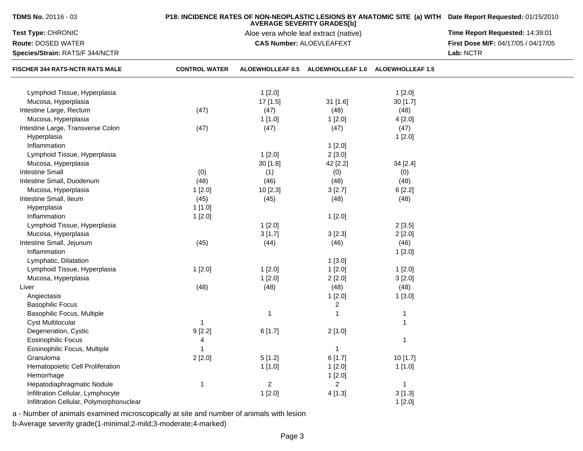| TDMS No. 20116 - 03                      |                      | P18: INCIDENCE RATES OF NON-NEOPLASTIC LESIONS BY ANATOMIC SITE (a) WITH Date Report Requested: 01/15/2010 |                                       |                         |                                     |
|------------------------------------------|----------------------|------------------------------------------------------------------------------------------------------------|---------------------------------------|-------------------------|-------------------------------------|
| Test Type: CHRONIC                       |                      |                                                                                                            | Aloe vera whole leaf extract (native) |                         | Time Report Requested: 14:39:01     |
| <b>Route: DOSED WATER</b>                |                      |                                                                                                            | <b>CAS Number: ALOEVLEAFEXT</b>       |                         | First Dose M/F: 04/17/05 / 04/17/05 |
| Species/Strain: RATS/F 344/NCTR          |                      |                                                                                                            |                                       |                         | Lab: NCTR                           |
| <b>FISCHER 344 RATS-NCTR RATS MALE</b>   | <b>CONTROL WATER</b> | <b>ALOEWHOLLEAF 0.5</b>                                                                                    | <b>ALOEWHOLLEAF 1.0</b>               | <b>ALOEWHOLLEAF 1.5</b> |                                     |
| Lymphoid Tissue, Hyperplasia             |                      | 1[2.0]                                                                                                     |                                       | 1[2.0]                  |                                     |
| Mucosa, Hyperplasia                      |                      | 17 [1.5]                                                                                                   | 31 [1.6]                              | 30[1.7]                 |                                     |
| Intestine Large, Rectum                  | (47)                 | (47)                                                                                                       | (48)                                  | (48)                    |                                     |
| Mucosa, Hyperplasia                      |                      | 1[1.0]                                                                                                     | 1[2.0]                                | 4[2.0]                  |                                     |
| Intestine Large, Transverse Colon        | (47)                 | (47)                                                                                                       | (47)                                  | (47)                    |                                     |
| Hyperplasia                              |                      |                                                                                                            |                                       | 1[2.0]                  |                                     |
| Inflammation                             |                      |                                                                                                            | 1[2.0]                                |                         |                                     |
| Lymphoid Tissue, Hyperplasia             |                      | 1[2.0]                                                                                                     | 2[3.0]                                |                         |                                     |
| Mucosa, Hyperplasia                      |                      | 30 [1.8]                                                                                                   | 42 [2.2]                              | 34 [2.4]                |                                     |
| <b>Intestine Small</b>                   | (0)                  | (1)                                                                                                        | (0)                                   | (0)                     |                                     |
| Intestine Small, Duodenum                | (48)                 | (46)                                                                                                       | (48)                                  | (48)                    |                                     |
| Mucosa, Hyperplasia                      | 1[2.0]               | 10 [2.3]                                                                                                   | 3[2.7]                                | 6[2.2]                  |                                     |
| Intestine Small, Ileum                   | (45)                 | (45)                                                                                                       | (48)                                  | (48)                    |                                     |
| Hyperplasia                              | 1[1.0]               |                                                                                                            |                                       |                         |                                     |
| Inflammation                             | 1[2.0]               |                                                                                                            | 1[2.0]                                |                         |                                     |
| Lymphoid Tissue, Hyperplasia             |                      | 1[2.0]                                                                                                     |                                       | 2[3.5]                  |                                     |
| Mucosa, Hyperplasia                      |                      | 3[1.7]                                                                                                     | 3[2.3]                                | 2[2.0]                  |                                     |
| Intestine Small, Jejunum                 | (45)                 | (44)                                                                                                       | (46)                                  | (46)                    |                                     |
| Inflammation                             |                      |                                                                                                            |                                       | 1[2.0]                  |                                     |
| Lymphatic, Dilatation                    |                      |                                                                                                            | 1[3.0]                                |                         |                                     |
| Lymphoid Tissue, Hyperplasia             | 1[2.0]               | 1[2.0]                                                                                                     | 1[2.0]                                | 1[2.0]                  |                                     |
| Mucosa, Hyperplasia                      |                      | 1[2.0]                                                                                                     | 2[2.0]                                | 3[2.0]                  |                                     |
| Liver                                    | (48)                 | (48)                                                                                                       | (48)                                  | (48)                    |                                     |
| Angiectasis                              |                      |                                                                                                            | 1[2.0]                                | 1[3.0]                  |                                     |
| <b>Basophilic Focus</b>                  |                      |                                                                                                            | $\overline{2}$                        |                         |                                     |
| Basophilic Focus, Multiple               |                      | 1                                                                                                          |                                       | 1                       |                                     |
| <b>Cyst Multilocular</b>                 | $\mathbf{1}$         |                                                                                                            |                                       | $\mathbf{1}$            |                                     |
| Degeneration, Cystic                     | 9[2.2]               | 6[1.7]                                                                                                     | 2[1.0]                                |                         |                                     |
| Eosinophilic Focus                       | 4                    |                                                                                                            |                                       | 1                       |                                     |
| Eosinophilic Focus, Multiple             | 1                    |                                                                                                            | $\mathbf{1}$                          |                         |                                     |
| Granuloma                                | 2[2.0]               | 5[1.2]                                                                                                     | 6[1.7]                                | 10 [1.7]                |                                     |
| Hematopoietic Cell Proliferation         |                      | 1[1.0]                                                                                                     | 1[2.0]                                | 1[1.0]                  |                                     |
| Hemorrhage                               |                      |                                                                                                            | 1[2.0]                                |                         |                                     |
| Hepatodiaphragmatic Nodule               | 1                    | $\overline{c}$                                                                                             | $\overline{2}$                        | $\mathbf{1}$            |                                     |
| Infiltration Cellular, Lymphocyte        |                      | 1[2.0]                                                                                                     | 4[1.3]                                | 3[1.3]                  |                                     |
| Infiltration Cellular, Polymorphonuclear |                      |                                                                                                            |                                       | 1[2.0]                  |                                     |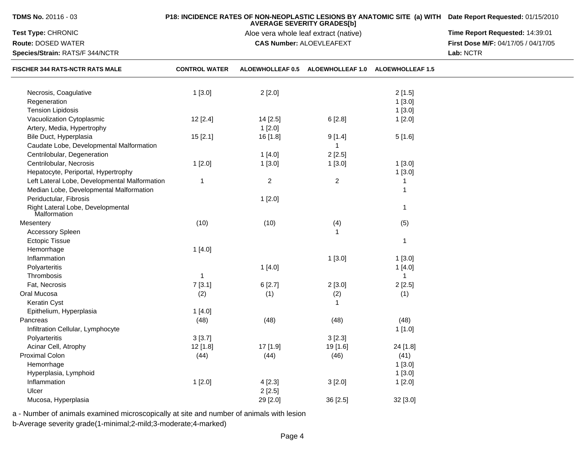| <b>TDMS No. 20116 - 03</b>                        |                      | <b>AVERAGE SEVERITY GRADES[b]</b>     | P18: INCIDENCE RATES OF NON-NEOPLASTIC LESIONS BY ANATOMIC SITE (a) WITH Date Report Requested: 01/15/2010 |                         |                                     |
|---------------------------------------------------|----------------------|---------------------------------------|------------------------------------------------------------------------------------------------------------|-------------------------|-------------------------------------|
| Test Type: CHRONIC                                |                      | Aloe vera whole leaf extract (native) | Time Report Requested: 14:39:01                                                                            |                         |                                     |
| Route: DOSED WATER                                |                      |                                       | <b>CAS Number: ALOEVLEAFEXT</b>                                                                            |                         | First Dose M/F: 04/17/05 / 04/17/05 |
| Species/Strain: RATS/F 344/NCTR                   |                      |                                       |                                                                                                            |                         | Lab: NCTR                           |
| FISCHER 344 RATS-NCTR RATS MALE                   | <b>CONTROL WATER</b> | <b>ALOEWHOLLEAF 0.5</b>               | <b>ALOEWHOLLEAF 1.0</b>                                                                                    | <b>ALOEWHOLLEAF 1.5</b> |                                     |
| Necrosis, Coagulative                             | 1[3.0]               | 2[2.0]                                |                                                                                                            | 2[1.5]                  |                                     |
| Regeneration                                      |                      |                                       |                                                                                                            | 1[3.0]                  |                                     |
| <b>Tension Lipidosis</b>                          |                      |                                       |                                                                                                            | 1[3.0]                  |                                     |
| Vacuolization Cytoplasmic                         | 12 [2.4]             | 14 [2.5]                              | 6[2.8]                                                                                                     | 1[2.0]                  |                                     |
| Artery, Media, Hypertrophy                        |                      | 1[2.0]                                |                                                                                                            |                         |                                     |
| Bile Duct, Hyperplasia                            | 15[2.1]              | 16 [1.8]                              | 9[1.4]                                                                                                     | 5[1.6]                  |                                     |
| Caudate Lobe, Developmental Malformation          |                      |                                       | 1                                                                                                          |                         |                                     |
| Centrilobular, Degeneration                       |                      | 1[4.0]                                | 2[2.5]                                                                                                     |                         |                                     |
| Centrilobular, Necrosis                           | 1[2.0]               | 1[3.0]                                | 1[3.0]                                                                                                     | 1[3.0]                  |                                     |
| Hepatocyte, Periportal, Hypertrophy               |                      |                                       |                                                                                                            | 1[3.0]                  |                                     |
| Left Lateral Lobe, Developmental Malformation     | $\mathbf{1}$         | $\overline{2}$                        | $\overline{c}$                                                                                             | 1                       |                                     |
| Median Lobe, Developmental Malformation           |                      |                                       |                                                                                                            | 1                       |                                     |
| Periductular, Fibrosis                            |                      | 1[2.0]                                |                                                                                                            |                         |                                     |
| Right Lateral Lobe, Developmental<br>Malformation |                      |                                       |                                                                                                            | 1                       |                                     |
| Mesentery                                         | (10)                 | (10)                                  | (4)                                                                                                        | (5)                     |                                     |
| <b>Accessory Spleen</b>                           |                      |                                       | 1                                                                                                          |                         |                                     |
| <b>Ectopic Tissue</b>                             |                      |                                       |                                                                                                            | 1                       |                                     |
| Hemorrhage                                        | 1[4.0]               |                                       |                                                                                                            |                         |                                     |
| Inflammation                                      |                      |                                       | 1[3.0]                                                                                                     | 1[3.0]                  |                                     |
| Polyarteritis                                     |                      | 1[4.0]                                |                                                                                                            | 1[4.0]                  |                                     |
| Thrombosis                                        | -1                   |                                       |                                                                                                            | 1                       |                                     |
| Fat, Necrosis                                     | 7[3.1]               | 6[2.7]                                | 2[3.0]                                                                                                     | 2[2.5]                  |                                     |
| Oral Mucosa                                       | (2)                  | (1)                                   | (2)                                                                                                        | (1)                     |                                     |
| Keratin Cyst                                      |                      |                                       | 1                                                                                                          |                         |                                     |
| Epithelium, Hyperplasia                           | 1[4.0]               |                                       |                                                                                                            |                         |                                     |
| Pancreas                                          | (48)                 | (48)                                  | (48)                                                                                                       | (48)                    |                                     |
| Infiltration Cellular, Lymphocyte                 |                      |                                       |                                                                                                            | 1[1.0]                  |                                     |
| Polyarteritis                                     | 3[3.7]               |                                       | 3[2.3]                                                                                                     |                         |                                     |
| Acinar Cell, Atrophy                              | 12 [1.8]             | 17 [1.9]                              | 19 [1.6]                                                                                                   | 24 [1.8]                |                                     |
| Proximal Colon                                    | (44)                 | (44)                                  | (46)                                                                                                       | (41)                    |                                     |
| Hemorrhage                                        |                      |                                       |                                                                                                            | 1[3.0]                  |                                     |
| Hyperplasia, Lymphoid                             |                      |                                       |                                                                                                            | 1[3.0]                  |                                     |
| Inflammation                                      | 1[2.0]               | 4[2.3]                                | 3[2.0]                                                                                                     | 1[2.0]                  |                                     |
| Ulcer                                             |                      | 2[2.5]                                |                                                                                                            |                         |                                     |
| Mucosa, Hyperplasia                               |                      | 29 [2.0]                              | 36 [2.5]                                                                                                   | 32 [3.0]                |                                     |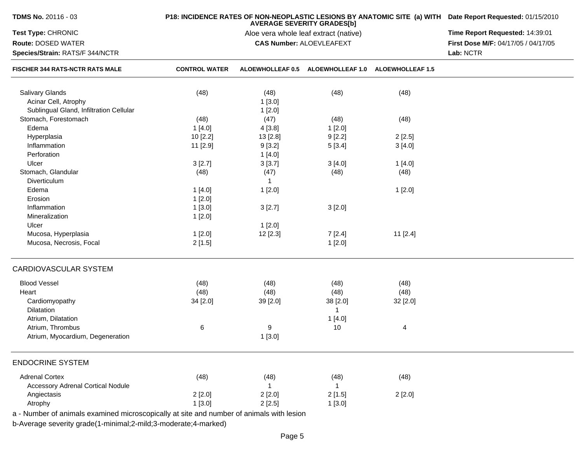| <b>TDMS No. 20116 - 03</b>                                                               |                      | P18: INCIDENCE RATES OF NON-NEOPLASTIC LESIONS BY ANATOMIC SITE (a) WITH Date Report Requested: 01/15/2010 |                                                    |          |                                     |
|------------------------------------------------------------------------------------------|----------------------|------------------------------------------------------------------------------------------------------------|----------------------------------------------------|----------|-------------------------------------|
| Test Type: CHRONIC                                                                       |                      |                                                                                                            | Aloe vera whole leaf extract (native)              |          | Time Report Requested: 14:39:01     |
| Route: DOSED WATER                                                                       |                      |                                                                                                            | <b>CAS Number: ALOEVLEAFEXT</b>                    |          | First Dose M/F: 04/17/05 / 04/17/05 |
| Species/Strain: RATS/F 344/NCTR                                                          |                      |                                                                                                            |                                                    |          | Lab: NCTR                           |
| <b>FISCHER 344 RATS-NCTR RATS MALE</b>                                                   | <b>CONTROL WATER</b> |                                                                                                            | ALOEWHOLLEAF 0.5 ALOEWHOLLEAF 1.0 ALOEWHOLLEAF 1.5 |          |                                     |
| <b>Salivary Glands</b>                                                                   | (48)                 | (48)                                                                                                       | (48)                                               | (48)     |                                     |
| Acinar Cell, Atrophy                                                                     |                      | 1[3.0]                                                                                                     |                                                    |          |                                     |
| Sublingual Gland, Infiltration Cellular                                                  |                      | 1[2.0]                                                                                                     |                                                    |          |                                     |
| Stomach, Forestomach                                                                     | (48)                 | (47)                                                                                                       | (48)                                               | (48)     |                                     |
| Edema                                                                                    | 1[4.0]               | 4[3.8]                                                                                                     | 1[2.0]                                             |          |                                     |
| Hyperplasia                                                                              | 10 [2.2]             |                                                                                                            |                                                    | 2[2.5]   |                                     |
| Inflammation                                                                             |                      | 13 [2.8]                                                                                                   | 9[2.2]                                             |          |                                     |
|                                                                                          | 11 [2.9]             | 9[3.2]                                                                                                     | 5[3.4]                                             | 3[4.0]   |                                     |
| Perforation                                                                              |                      | 1[4.0]                                                                                                     |                                                    |          |                                     |
| Ulcer                                                                                    | 3[2.7]               | 3[3.7]                                                                                                     | 3[4.0]                                             | 1[4.0]   |                                     |
| Stomach, Glandular                                                                       | (48)                 | (47)                                                                                                       | (48)                                               | (48)     |                                     |
| Diverticulum                                                                             |                      | $\overline{1}$                                                                                             |                                                    |          |                                     |
| Edema                                                                                    | 1[4.0]               | 1[2.0]                                                                                                     |                                                    | 1[2.0]   |                                     |
| Erosion                                                                                  | 1[2.0]               |                                                                                                            |                                                    |          |                                     |
| Inflammation                                                                             | 1[3.0]               | 3[2.7]                                                                                                     | 3[2.0]                                             |          |                                     |
| Mineralization                                                                           | 1[2.0]               |                                                                                                            |                                                    |          |                                     |
| Ulcer                                                                                    |                      | 1[2.0]                                                                                                     |                                                    |          |                                     |
| Mucosa, Hyperplasia                                                                      | 1[2.0]               | 12 [2.3]                                                                                                   | 7[2.4]                                             | 11 [2.4] |                                     |
| Mucosa, Necrosis, Focal                                                                  | 2[1.5]               |                                                                                                            | 1[2.0]                                             |          |                                     |
| CARDIOVASCULAR SYSTEM                                                                    |                      |                                                                                                            |                                                    |          |                                     |
| <b>Blood Vessel</b>                                                                      | (48)                 | (48)                                                                                                       | (48)                                               | (48)     |                                     |
| Heart                                                                                    | (48)                 | (48)                                                                                                       | (48)                                               | (48)     |                                     |
| Cardiomyopathy                                                                           | 34 [2.0]             | 39 [2.0]                                                                                                   | 38 [2.0]                                           | 32 [2.0] |                                     |
| Dilatation                                                                               |                      |                                                                                                            | $\mathbf{1}$                                       |          |                                     |
| Atrium, Dilatation                                                                       |                      |                                                                                                            | 1[4.0]                                             |          |                                     |
| Atrium, Thrombus                                                                         | 6                    | 9                                                                                                          | 10                                                 | 4        |                                     |
| Atrium, Myocardium, Degeneration                                                         |                      | 1[3.0]                                                                                                     |                                                    |          |                                     |
| <b>ENDOCRINE SYSTEM</b>                                                                  |                      |                                                                                                            |                                                    |          |                                     |
| <b>Adrenal Cortex</b>                                                                    | (48)                 | (48)                                                                                                       | (48)                                               | (48)     |                                     |
| <b>Accessory Adrenal Cortical Nodule</b>                                                 |                      | -1                                                                                                         | $\mathbf{1}$                                       |          |                                     |
| Angiectasis                                                                              | 2[2.0]               | 2[2.0]                                                                                                     | 2[1.5]                                             | 2[2.0]   |                                     |
| Atrophy                                                                                  | 1[3.0]               | 2[2.5]                                                                                                     | 1[3.0]                                             |          |                                     |
| a - Number of animals examined microscopically at site and number of animals with lesion |                      |                                                                                                            |                                                    |          |                                     |
| b-Average severity grade(1-minimal;2-mild;3-moderate;4-marked)                           |                      |                                                                                                            |                                                    |          |                                     |
|                                                                                          |                      |                                                                                                            |                                                    |          |                                     |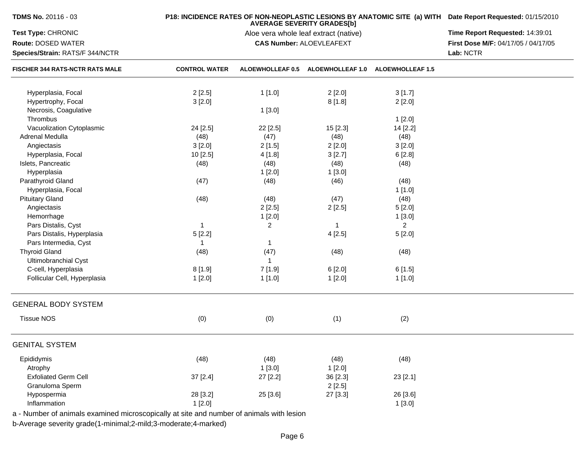| TDMS No. 20116 - 03             |                      | P18: INCIDENCE RATES OF NON-NEOPLASTIC LESIONS BY ANATOMIC SITE (a) WITH Date Report Requested: 01/15/2010 |                                                                            |                         |                                     |
|---------------------------------|----------------------|------------------------------------------------------------------------------------------------------------|----------------------------------------------------------------------------|-------------------------|-------------------------------------|
| Test Type: CHRONIC              |                      |                                                                                                            | <b>AVERAGE SEVERITY GRADES[b]</b><br>Aloe vera whole leaf extract (native) |                         | Time Report Requested: 14:39:01     |
| Route: DOSED WATER              |                      |                                                                                                            | <b>CAS Number: ALOEVLEAFEXT</b>                                            |                         | First Dose M/F: 04/17/05 / 04/17/05 |
| Species/Strain: RATS/F 344/NCTR |                      |                                                                                                            |                                                                            |                         | Lab: NCTR                           |
| FISCHER 344 RATS-NCTR RATS MALE | <b>CONTROL WATER</b> | <b>ALOEWHOLLEAF 0.5</b>                                                                                    | <b>ALOEWHOLLEAF 1.0</b>                                                    | <b>ALOEWHOLLEAF 1.5</b> |                                     |
| Hyperplasia, Focal              | 2[2.5]               | 1[1.0]                                                                                                     | 2[2.0]                                                                     | 3[1.7]                  |                                     |
| Hypertrophy, Focal              | 3[2.0]               |                                                                                                            | 8[1.8]                                                                     | 2[2.0]                  |                                     |
| Necrosis, Coagulative           |                      | 1[3.0]                                                                                                     |                                                                            |                         |                                     |
| Thrombus                        |                      |                                                                                                            |                                                                            | 1[2.0]                  |                                     |
| Vacuolization Cytoplasmic       | 24 [2.5]             | 22 [2.5]                                                                                                   | 15 [2.3]                                                                   | 14 [2.2]                |                                     |
| Adrenal Medulla                 | (48)                 | (47)                                                                                                       | (48)                                                                       | (48)                    |                                     |
| Angiectasis                     | 3[2.0]               | 2[1.5]                                                                                                     | 2[2.0]                                                                     | 3[2.0]                  |                                     |
| Hyperplasia, Focal              | 10 [2.5]             | 4[1.8]                                                                                                     | 3[2.7]                                                                     | 6[2.8]                  |                                     |
| Islets, Pancreatic              | (48)                 | (48)                                                                                                       | (48)                                                                       | (48)                    |                                     |
| Hyperplasia                     |                      | 1[2.0]                                                                                                     | 1[3.0]                                                                     |                         |                                     |
| Parathyroid Gland               | (47)                 | (48)                                                                                                       | (46)                                                                       | (48)                    |                                     |
| Hyperplasia, Focal              |                      |                                                                                                            |                                                                            | 1[1.0]                  |                                     |
| <b>Pituitary Gland</b>          | (48)                 | (48)                                                                                                       | (47)                                                                       | (48)                    |                                     |
| Angiectasis                     |                      | 2[2.5]                                                                                                     | 2[2.5]                                                                     | 5[2.0]                  |                                     |
| Hemorrhage                      |                      | 1[2.0]                                                                                                     |                                                                            | 1[3.0]                  |                                     |
| Pars Distalis, Cyst             | $\mathbf{1}$         | $\overline{2}$                                                                                             | $\overline{1}$                                                             | $\overline{2}$          |                                     |
|                                 |                      |                                                                                                            |                                                                            |                         |                                     |
| Pars Distalis, Hyperplasia      | 5[2.2]               |                                                                                                            | 4[2.5]                                                                     | 5[2.0]                  |                                     |
| Pars Intermedia, Cyst           | $\mathbf{1}$         | $\mathbf{1}$                                                                                               |                                                                            |                         |                                     |
| <b>Thyroid Gland</b>            | (48)                 | (47)                                                                                                       | (48)                                                                       | (48)                    |                                     |
| Ultimobranchial Cyst            |                      | $\mathbf{1}$                                                                                               |                                                                            |                         |                                     |
| C-cell, Hyperplasia             | 8[1.9]               | 7 [1.9]                                                                                                    | 6[2.0]                                                                     | 6[1.5]                  |                                     |
| Follicular Cell, Hyperplasia    | 1[2.0]               | 1[1.0]                                                                                                     | 1[2.0]                                                                     | 1[1.0]                  |                                     |
| <b>GENERAL BODY SYSTEM</b>      |                      |                                                                                                            |                                                                            |                         |                                     |
| <b>Tissue NOS</b>               | (0)                  | (0)                                                                                                        | (1)                                                                        | (2)                     |                                     |
| <b>GENITAL SYSTEM</b>           |                      |                                                                                                            |                                                                            |                         |                                     |
| Epididymis                      | (48)                 | (48)                                                                                                       | (48)                                                                       | (48)                    |                                     |
| Atrophy                         |                      | 1[3.0]                                                                                                     | 1[2.0]                                                                     |                         |                                     |
| <b>Exfoliated Germ Cell</b>     | 37 [2.4]             | 27 [2.2]                                                                                                   | 36 [2.3]                                                                   | 23 [2.1]                |                                     |
| Granuloma Sperm                 |                      |                                                                                                            | 2[2.5]                                                                     |                         |                                     |
| Hypospermia                     | 28 [3.2]             | 25 [3.6]                                                                                                   | 27 [3.3]                                                                   | 26 [3.6]                |                                     |
| Inflammation                    | 1[2.0]               |                                                                                                            |                                                                            | 1[3.0]                  |                                     |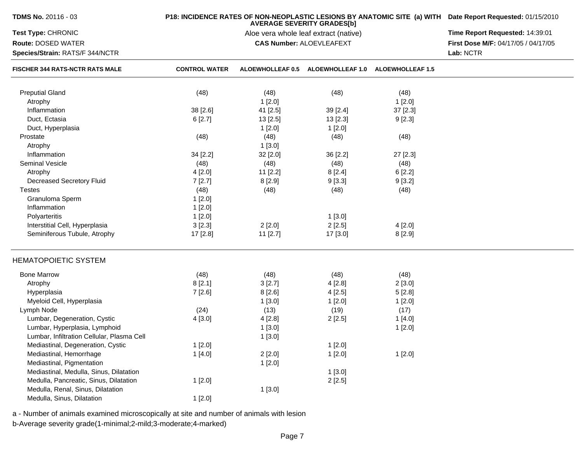| <b>TDMS No. 20116 - 03</b>                 |                      | P18: INCIDENCE RATES OF NON-NEOPLASTIC LESIONS BY ANATOMIC SITE (a) WITH Date Report Requested: 01/15/2010 |                                                                            |                         |                                     |
|--------------------------------------------|----------------------|------------------------------------------------------------------------------------------------------------|----------------------------------------------------------------------------|-------------------------|-------------------------------------|
| Test Type: CHRONIC                         |                      |                                                                                                            | <b>AVERAGE SEVERITY GRADES[b]</b><br>Aloe vera whole leaf extract (native) |                         | Time Report Requested: 14:39:01     |
| <b>Route: DOSED WATER</b>                  |                      |                                                                                                            | <b>CAS Number: ALOEVLEAFEXT</b>                                            |                         | First Dose M/F: 04/17/05 / 04/17/05 |
| Species/Strain: RATS/F 344/NCTR            |                      |                                                                                                            |                                                                            |                         | Lab: NCTR                           |
| FISCHER 344 RATS-NCTR RATS MALE            | <b>CONTROL WATER</b> |                                                                                                            | ALOEWHOLLEAF 0.5 ALOEWHOLLEAF 1.0                                          | <b>ALOEWHOLLEAF 1.5</b> |                                     |
| <b>Preputial Gland</b>                     | (48)                 | (48)                                                                                                       | (48)                                                                       | (48)                    |                                     |
| Atrophy                                    |                      | 1[2.0]                                                                                                     |                                                                            | 1[2.0]                  |                                     |
| Inflammation                               | 38 [2.6]             | 41 [2.5]                                                                                                   | 39 [2.4]                                                                   | 37 [2.3]                |                                     |
| Duct, Ectasia                              | 6[2.7]               | 13 [2.5]                                                                                                   | 13 [2.3]                                                                   | 9[2.3]                  |                                     |
| Duct, Hyperplasia                          |                      | 1[2.0]                                                                                                     | 1[2.0]                                                                     |                         |                                     |
| Prostate                                   | (48)                 | (48)                                                                                                       | (48)                                                                       | (48)                    |                                     |
| Atrophy                                    |                      | 1[3.0]                                                                                                     |                                                                            |                         |                                     |
| Inflammation                               | 34 [2.2]             | 32 [2.0]                                                                                                   | 36 [2.2]                                                                   | 27 [2.3]                |                                     |
| <b>Seminal Vesicle</b>                     | (48)                 | (48)                                                                                                       | (48)                                                                       | (48)                    |                                     |
| Atrophy                                    | 4[2.0]               | $11$ [2.2]                                                                                                 | 8[2.4]                                                                     | 6[2.2]                  |                                     |
| Decreased Secretory Fluid                  | 7[2.7]               | 8[2.9]                                                                                                     | 9[3.3]                                                                     | 9[3.2]                  |                                     |
| <b>Testes</b>                              | (48)                 | (48)                                                                                                       | (48)                                                                       | (48)                    |                                     |
| Granuloma Sperm                            | 1[2.0]               |                                                                                                            |                                                                            |                         |                                     |
| Inflammation                               | 1[2.0]               |                                                                                                            |                                                                            |                         |                                     |
| Polyarteritis                              | 1[2.0]               |                                                                                                            | 1[3.0]                                                                     |                         |                                     |
| Interstitial Cell, Hyperplasia             | 3[2.3]               | 2[2.0]                                                                                                     | 2[2.5]                                                                     | 4[2.0]                  |                                     |
| Seminiferous Tubule, Atrophy               | 17 [2.8]             | 11 [2.7]                                                                                                   | 17 [3.0]                                                                   | 8 [2.9]                 |                                     |
| <b>HEMATOPOIETIC SYSTEM</b>                |                      |                                                                                                            |                                                                            |                         |                                     |
| <b>Bone Marrow</b>                         | (48)                 | (48)                                                                                                       | (48)                                                                       | (48)                    |                                     |
| Atrophy                                    | 8[2.1]               | 3[2.7]                                                                                                     | 4[2.8]                                                                     | 2[3.0]                  |                                     |
| Hyperplasia                                | 7[2.6]               | 8[2.6]                                                                                                     | 4[2.5]                                                                     | 5[2.8]                  |                                     |
| Myeloid Cell, Hyperplasia                  |                      | 1[3.0]                                                                                                     | 1[2.0]                                                                     | 1[2.0]                  |                                     |
| Lymph Node                                 | (24)                 | (13)                                                                                                       | (19)                                                                       | (17)                    |                                     |
| Lumbar, Degeneration, Cystic               | 4[3.0]               | 4 [2.8]                                                                                                    | 2[2.5]                                                                     | 1[4.0]                  |                                     |
| Lumbar, Hyperplasia, Lymphoid              |                      | 1[3.0]                                                                                                     |                                                                            | 1[2.0]                  |                                     |
| Lumbar, Infiltration Cellular, Plasma Cell |                      | 1[3.0]                                                                                                     |                                                                            |                         |                                     |
| Mediastinal, Degeneration, Cystic          | 1[2.0]               |                                                                                                            | 1[2.0]                                                                     |                         |                                     |
| Mediastinal, Hemorrhage                    | 1[4.0]               | 2[2.0]                                                                                                     | 1[2.0]                                                                     | 1[2.0]                  |                                     |
| Mediastinal, Pigmentation                  |                      | 1[2.0]                                                                                                     |                                                                            |                         |                                     |
| Mediastinal, Medulla, Sinus, Dilatation    |                      |                                                                                                            | 1[3.0]                                                                     |                         |                                     |
| Medulla, Pancreatic, Sinus, Dilatation     | 1[2.0]               |                                                                                                            | 2[2.5]                                                                     |                         |                                     |
| Medulla, Renal, Sinus, Dilatation          |                      | 1[3.0]                                                                                                     |                                                                            |                         |                                     |
| Medulla, Sinus, Dilatation                 | 1[2.0]               |                                                                                                            |                                                                            |                         |                                     |

a - Number of animals examined microscopically at site and number of animals with lesionb-Average severity grade(1-minimal;2-mild;3-moderate;4-marked)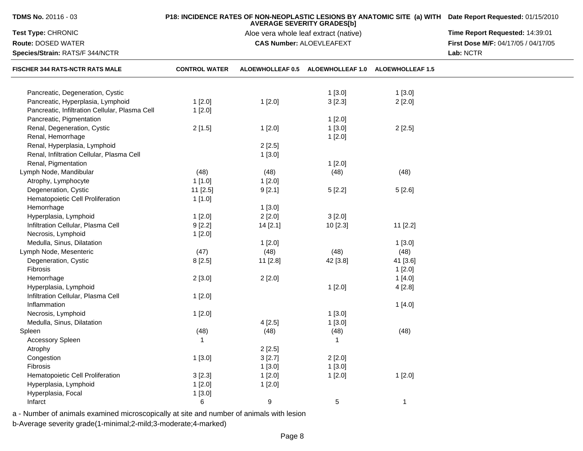| TDMS No. 20116 - 03                            |                      | <b>AVERAGE SEVERITY GRADES[b]</b>     | P18: INCIDENCE RATES OF NON-NEOPLASTIC LESIONS BY ANATOMIC SITE (a) WITH Date Report Requested: 01/15/2010 |                         |                                     |
|------------------------------------------------|----------------------|---------------------------------------|------------------------------------------------------------------------------------------------------------|-------------------------|-------------------------------------|
| Test Type: CHRONIC                             |                      | Aloe vera whole leaf extract (native) | Time Report Requested: 14:39:01                                                                            |                         |                                     |
| <b>Route: DOSED WATER</b>                      |                      |                                       | <b>CAS Number: ALOEVLEAFEXT</b>                                                                            |                         | First Dose M/F: 04/17/05 / 04/17/05 |
| Species/Strain: RATS/F 344/NCTR                |                      |                                       |                                                                                                            |                         | Lab: NCTR                           |
| <b>FISCHER 344 RATS-NCTR RATS MALE</b>         | <b>CONTROL WATER</b> |                                       | ALOEWHOLLEAF 0.5 ALOEWHOLLEAF 1.0                                                                          | <b>ALOEWHOLLEAF 1.5</b> |                                     |
| Pancreatic, Degeneration, Cystic               |                      |                                       | 1[3.0]                                                                                                     | 1[3.0]                  |                                     |
| Pancreatic, Hyperplasia, Lymphoid              | 1[2.0]               | 1[2.0]                                | 3[2.3]                                                                                                     |                         |                                     |
| Pancreatic, Infiltration Cellular, Plasma Cell |                      |                                       |                                                                                                            | 2[2.0]                  |                                     |
| Pancreatic, Pigmentation                       | 1[2.0]               |                                       |                                                                                                            |                         |                                     |
|                                                |                      |                                       | 1[2.0]                                                                                                     |                         |                                     |
| Renal, Degeneration, Cystic                    | 2[1.5]               | 1[2.0]                                | 1[3.0]                                                                                                     | 2[2.5]                  |                                     |
| Renal, Hemorrhage                              |                      |                                       | 1[2.0]                                                                                                     |                         |                                     |
| Renal, Hyperplasia, Lymphoid                   |                      | 2[2.5]                                |                                                                                                            |                         |                                     |
| Renal, Infiltration Cellular, Plasma Cell      |                      | 1[3.0]                                |                                                                                                            |                         |                                     |
| Renal, Pigmentation                            |                      |                                       | 1[2.0]                                                                                                     |                         |                                     |
| Lymph Node, Mandibular                         | (48)                 | (48)                                  | (48)                                                                                                       | (48)                    |                                     |
| Atrophy, Lymphocyte                            | 1[1.0]               | 1[2.0]                                |                                                                                                            |                         |                                     |
| Degeneration, Cystic                           | $11$ [2.5]           | 9[2.1]                                | 5[2.2]                                                                                                     | 5[2.6]                  |                                     |
| Hematopoietic Cell Proliferation               | 1[1.0]               |                                       |                                                                                                            |                         |                                     |
| Hemorrhage                                     |                      | 1[3.0]                                |                                                                                                            |                         |                                     |
| Hyperplasia, Lymphoid                          | 1[2.0]               | 2[2.0]                                | 3[2.0]                                                                                                     |                         |                                     |
| Infiltration Cellular, Plasma Cell             | 9[2.2]               | 14 [2.1]                              | 10[2.3]                                                                                                    | 11 [2.2]                |                                     |
| Necrosis, Lymphoid                             | 1[2.0]               |                                       |                                                                                                            |                         |                                     |
| Medulla, Sinus, Dilatation                     |                      | 1[2.0]                                |                                                                                                            | 1[3.0]                  |                                     |
| Lymph Node, Mesenteric                         | (47)                 | (48)                                  | (48)                                                                                                       | (48)                    |                                     |
| Degeneration, Cystic                           | 8[2.5]               | 11 [2.8]                              | 42 [3.8]                                                                                                   | 41 [3.6]                |                                     |
| Fibrosis                                       |                      |                                       |                                                                                                            | 1[2.0]                  |                                     |
| Hemorrhage                                     | 2[3.0]               | 2[2.0]                                |                                                                                                            | 1 [4.0]                 |                                     |
| Hyperplasia, Lymphoid                          |                      |                                       | 1[2.0]                                                                                                     | 4 [2.8]                 |                                     |
| Infiltration Cellular, Plasma Cell             | 1[2.0]               |                                       |                                                                                                            |                         |                                     |
| Inflammation                                   |                      |                                       |                                                                                                            | 1[4.0]                  |                                     |
| Necrosis, Lymphoid                             | 1[2.0]               |                                       | 1[3.0]                                                                                                     |                         |                                     |
| Medulla, Sinus, Dilatation                     |                      | 4[2.5]                                | 1[3.0]                                                                                                     |                         |                                     |
| Spleen                                         | (48)                 | (48)                                  | (48)                                                                                                       | (48)                    |                                     |
| Accessory Spleen                               | 1                    |                                       | -1                                                                                                         |                         |                                     |
| Atrophy                                        |                      | 2[2.5]                                |                                                                                                            |                         |                                     |
| Congestion                                     | 1[3.0]               | 3[2.7]                                | 2[2.0]                                                                                                     |                         |                                     |
| Fibrosis                                       |                      | 1[3.0]                                | 1[3.0]                                                                                                     |                         |                                     |
| Hematopoietic Cell Proliferation               | 3[2.3]               | 1[2.0]                                | 1[2.0]                                                                                                     | 1[2.0]                  |                                     |
| Hyperplasia, Lymphoid                          | 1[2.0]               | 1[2.0]                                |                                                                                                            |                         |                                     |
| Hyperplasia, Focal                             | 1[3.0]               |                                       |                                                                                                            |                         |                                     |
| Infarct                                        | 6                    | $\boldsymbol{9}$                      | $5\phantom{.0}$                                                                                            | $\mathbf{1}$            |                                     |
|                                                |                      |                                       |                                                                                                            |                         |                                     |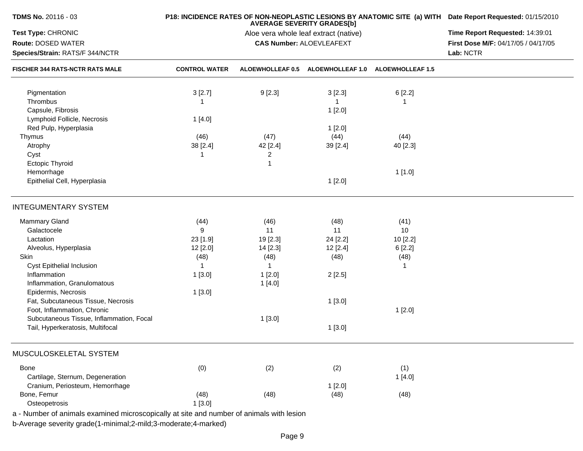| <b>TDMS No. 20116 - 03</b>               |                      | P18: INCIDENCE RATES OF NON-NEOPLASTIC LESIONS BY ANATOMIC SITE (a) WITH Date Report Requested: 01/15/2010 |                                                                            |              |                                     |
|------------------------------------------|----------------------|------------------------------------------------------------------------------------------------------------|----------------------------------------------------------------------------|--------------|-------------------------------------|
| Test Type: CHRONIC                       |                      |                                                                                                            | <b>AVERAGE SEVERITY GRADES[b]</b><br>Aloe vera whole leaf extract (native) |              | Time Report Requested: 14:39:01     |
| Route: DOSED WATER                       |                      |                                                                                                            | <b>CAS Number: ALOEVLEAFEXT</b>                                            |              | First Dose M/F: 04/17/05 / 04/17/05 |
| Species/Strain: RATS/F 344/NCTR          |                      |                                                                                                            |                                                                            |              | Lab: NCTR                           |
| <b>FISCHER 344 RATS-NCTR RATS MALE</b>   | <b>CONTROL WATER</b> |                                                                                                            | ALOEWHOLLEAF 0.5 ALOEWHOLLEAF 1.0 ALOEWHOLLEAF 1.5                         |              |                                     |
| Pigmentation                             | 3[2.7]               | 9[2.3]                                                                                                     | 3[2.3]                                                                     | 6[2.2]       |                                     |
| Thrombus                                 | -1                   |                                                                                                            | -1                                                                         | 1            |                                     |
| Capsule, Fibrosis                        |                      |                                                                                                            | 1[2.0]                                                                     |              |                                     |
| Lymphoid Follicle, Necrosis              | 1[4.0]               |                                                                                                            |                                                                            |              |                                     |
| Red Pulp, Hyperplasia                    |                      |                                                                                                            | 1[2.0]                                                                     |              |                                     |
| Thymus                                   | (46)                 | (47)                                                                                                       | (44)                                                                       | (44)         |                                     |
| Atrophy                                  | 38 [2.4]             | 42 [2.4]                                                                                                   | 39 [2.4]                                                                   | 40 [2.3]     |                                     |
| Cyst                                     | -1                   | 2                                                                                                          |                                                                            |              |                                     |
| <b>Ectopic Thyroid</b>                   |                      | 1                                                                                                          |                                                                            |              |                                     |
| Hemorrhage                               |                      |                                                                                                            |                                                                            | 1[1.0]       |                                     |
| Epithelial Cell, Hyperplasia             |                      |                                                                                                            | 1[2.0]                                                                     |              |                                     |
|                                          |                      |                                                                                                            |                                                                            |              |                                     |
| <b>INTEGUMENTARY SYSTEM</b>              |                      |                                                                                                            |                                                                            |              |                                     |
| Mammary Gland                            | (44)                 | (46)                                                                                                       | (48)                                                                       | (41)         |                                     |
| Galactocele                              | 9                    | 11                                                                                                         | 11                                                                         | 10           |                                     |
| Lactation                                | 23 [1.9]             | 19 [2.3]                                                                                                   | 24 [2.2]                                                                   | 10 [2.2]     |                                     |
| Alveolus, Hyperplasia                    | 12 [2.0]             | 14 [2.3]                                                                                                   | 12 [2.4]                                                                   | 6[2.2]       |                                     |
| Skin                                     | (48)                 | (48)                                                                                                       | (48)                                                                       | (48)         |                                     |
| Cyst Epithelial Inclusion                | -1                   | $\mathbf{1}$                                                                                               |                                                                            | $\mathbf{1}$ |                                     |
| Inflammation                             | 1[3.0]               | 1[2.0]                                                                                                     | 2[2.5]                                                                     |              |                                     |
| Inflammation, Granulomatous              |                      | 1[4.0]                                                                                                     |                                                                            |              |                                     |
| Epidermis, Necrosis                      | 1[3.0]               |                                                                                                            |                                                                            |              |                                     |
| Fat, Subcutaneous Tissue, Necrosis       |                      |                                                                                                            | 1[3.0]                                                                     |              |                                     |
| Foot, Inflammation, Chronic              |                      |                                                                                                            |                                                                            | 1[2.0]       |                                     |
| Subcutaneous Tissue, Inflammation, Focal |                      | 1[3.0]                                                                                                     |                                                                            |              |                                     |
| Tail, Hyperkeratosis, Multifocal         |                      |                                                                                                            | 1[3.0]                                                                     |              |                                     |
|                                          |                      |                                                                                                            |                                                                            |              |                                     |
| MUSCULOSKELETAL SYSTEM                   |                      |                                                                                                            |                                                                            |              |                                     |
| Bone                                     | (0)                  | (2)                                                                                                        | (2)                                                                        | (1)          |                                     |
| Cartilage, Sternum, Degeneration         |                      |                                                                                                            |                                                                            | 1[4.0]       |                                     |
| Cranium, Periosteum, Hemorrhage          |                      |                                                                                                            | 1[2.0]                                                                     |              |                                     |
| Bone, Femur                              | (48)                 | (48)                                                                                                       | (48)                                                                       | (48)         |                                     |
| Osteopetrosis                            | 1[3.0]               |                                                                                                            |                                                                            |              |                                     |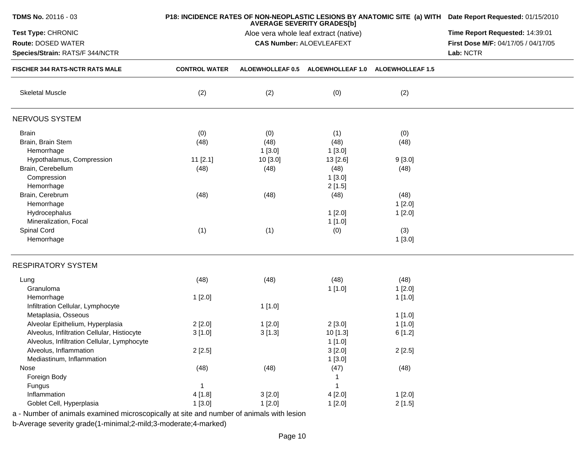| <b>TDMS No. 20116 - 03</b>                  |                      | P18: INCIDENCE RATES OF NON-NEOPLASTIC LESIONS BY ANATOMIC SITE (a) WITH Date Report Requested: 01/15/2010 |                                 |                         |                                     |
|---------------------------------------------|----------------------|------------------------------------------------------------------------------------------------------------|---------------------------------|-------------------------|-------------------------------------|
| Test Type: CHRONIC                          |                      | Time Report Requested: 14:39:01                                                                            |                                 |                         |                                     |
| Route: DOSED WATER                          |                      |                                                                                                            | <b>CAS Number: ALOEVLEAFEXT</b> |                         | First Dose M/F: 04/17/05 / 04/17/05 |
| Species/Strain: RATS/F 344/NCTR             |                      |                                                                                                            |                                 |                         | Lab: NCTR                           |
| <b>FISCHER 344 RATS-NCTR RATS MALE</b>      | <b>CONTROL WATER</b> | ALOEWHOLLEAF 0.5                                                                                           | <b>ALOEWHOLLEAF 1.0</b>         | <b>ALOEWHOLLEAF 1.5</b> |                                     |
| <b>Skeletal Muscle</b>                      | (2)                  | (2)                                                                                                        | (0)                             | (2)                     |                                     |
| NERVOUS SYSTEM                              |                      |                                                                                                            |                                 |                         |                                     |
| <b>Brain</b>                                | (0)                  | (0)                                                                                                        | (1)                             | (0)                     |                                     |
| Brain, Brain Stem                           | (48)                 | (48)                                                                                                       | (48)                            | (48)                    |                                     |
| Hemorrhage                                  |                      | 1[3.0]                                                                                                     | 1[3.0]                          |                         |                                     |
| Hypothalamus, Compression                   | $11$ [2.1]           | 10 [3.0]                                                                                                   | 13 [2.6]                        | 9[3.0]                  |                                     |
| Brain, Cerebellum                           | (48)                 | (48)                                                                                                       | (48)                            | (48)                    |                                     |
| Compression                                 |                      |                                                                                                            | 1[3.0]                          |                         |                                     |
| Hemorrhage                                  |                      |                                                                                                            | 2[1.5]                          |                         |                                     |
| Brain, Cerebrum                             | (48)                 | (48)                                                                                                       | (48)                            | (48)                    |                                     |
| Hemorrhage                                  |                      |                                                                                                            |                                 | 1[2.0]                  |                                     |
| Hydrocephalus                               |                      |                                                                                                            | 1[2.0]                          | 1[2.0]                  |                                     |
| Mineralization, Focal                       |                      |                                                                                                            | 1[1.0]                          |                         |                                     |
| Spinal Cord                                 | (1)                  | (1)                                                                                                        | (0)                             | (3)                     |                                     |
| Hemorrhage                                  |                      |                                                                                                            |                                 | 1[3.0]                  |                                     |
| <b>RESPIRATORY SYSTEM</b>                   |                      |                                                                                                            |                                 |                         |                                     |
| Lung                                        | (48)                 | (48)                                                                                                       | (48)                            | (48)                    |                                     |
| Granuloma                                   |                      |                                                                                                            | 1[1.0]                          | 1[2.0]                  |                                     |
| Hemorrhage                                  | 1[2.0]               |                                                                                                            |                                 | 1[1.0]                  |                                     |
| Infiltration Cellular, Lymphocyte           |                      | 1[1.0]                                                                                                     |                                 |                         |                                     |
| Metaplasia, Osseous                         |                      |                                                                                                            |                                 | 1[1.0]                  |                                     |
| Alveolar Epithelium, Hyperplasia            | 2[2.0]               | 1[2.0]                                                                                                     | 2[3.0]                          | 1[1.0]                  |                                     |
| Alveolus, Infiltration Cellular, Histiocyte | 3[1.0]               | 3[1.3]                                                                                                     | 10 [1.3]                        | 6[1.2]                  |                                     |
| Alveolus, Infiltration Cellular, Lymphocyte |                      |                                                                                                            | 1[1.0]                          |                         |                                     |
| Alveolus, Inflammation                      | 2[2.5]               |                                                                                                            | 3[2.0]                          | 2[2.5]                  |                                     |
| Mediastinum, Inflammation                   |                      |                                                                                                            | 1[3.0]                          |                         |                                     |
| Nose                                        | (48)                 | (48)                                                                                                       | (47)                            | (48)                    |                                     |
| Foreign Body                                |                      |                                                                                                            |                                 |                         |                                     |
| Fungus                                      | -1                   |                                                                                                            |                                 |                         |                                     |
| Inflammation                                | 4[1.8]               | 3[2.0]                                                                                                     | 4[2.0]                          | 1[2.0]                  |                                     |
| Goblet Cell, Hyperplasia                    | 1[3.0]               | 1[2.0]                                                                                                     | 1[2.0]                          | 2[1.5]                  |                                     |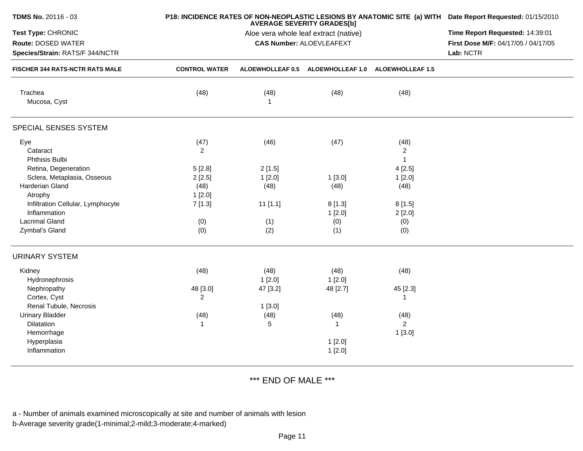| TDMS No. 20116 - 03                                                                |                            | P18: INCIDENCE RATES OF NON-NEOPLASTIC LESIONS BY ANATOMIC SITE (a) WITH Date Report Requested: 01/15/2010<br>Time Report Requested: 14:39:01<br>First Dose M/F: 04/17/05 / 04/17/05<br>Lab: NCTR |                                                    |                                        |  |
|------------------------------------------------------------------------------------|----------------------------|---------------------------------------------------------------------------------------------------------------------------------------------------------------------------------------------------|----------------------------------------------------|----------------------------------------|--|
| Test Type: CHRONIC<br><b>Route: DOSED WATER</b><br>Species/Strain: RATS/F 344/NCTR |                            |                                                                                                                                                                                                   |                                                    |                                        |  |
| FISCHER 344 RATS-NCTR RATS MALE                                                    | <b>CONTROL WATER</b>       |                                                                                                                                                                                                   | ALOEWHOLLEAF 0.5 ALOEWHOLLEAF 1.0 ALOEWHOLLEAF 1.5 |                                        |  |
| Trachea<br>Mucosa, Cyst                                                            | (48)                       | (48)<br>$\mathbf{1}$                                                                                                                                                                              | (48)                                               | (48)                                   |  |
| SPECIAL SENSES SYSTEM                                                              |                            |                                                                                                                                                                                                   |                                                    |                                        |  |
| Eye<br>Cataract<br>Phthisis Bulbi                                                  | (47)<br>2                  | (46)                                                                                                                                                                                              | (47)                                               | (48)<br>$\overline{c}$<br>$\mathbf{1}$ |  |
| Retina, Degeneration                                                               | 5[2.8]                     | 2[1.5]                                                                                                                                                                                            |                                                    | 4[2.5]                                 |  |
| Sclera, Metaplasia, Osseous<br>Harderian Gland                                     | 2[2.5]<br>(48)             | 1[2.0]<br>(48)                                                                                                                                                                                    | 1[3.0]<br>(48)                                     | 1[2.0]<br>(48)                         |  |
| Atrophy<br>Infiltration Cellular, Lymphocyte<br>Inflammation                       | 1[2.0]<br>7[1.3]           | $11$ [1.1]                                                                                                                                                                                        | 8[1.3]<br>1[2.0]                                   | 8[1.5]<br>2[2.0]                       |  |
| <b>Lacrimal Gland</b><br>Zymbal's Gland                                            | (0)<br>(0)                 | (1)<br>(2)                                                                                                                                                                                        | (0)<br>(1)                                         | (0)<br>(0)                             |  |
| <b>URINARY SYSTEM</b>                                                              |                            |                                                                                                                                                                                                   |                                                    |                                        |  |
| Kidney<br>Hydronephrosis                                                           | (48)                       | (48)<br>1[2.0]                                                                                                                                                                                    | (48)<br>1[2.0]                                     | (48)                                   |  |
| Nephropathy<br>Cortex, Cyst                                                        | 48 [3.0]<br>$\overline{2}$ | 47 [3.2]                                                                                                                                                                                          | 48 [2.7]                                           | 45 [2.3]<br>1                          |  |
| Renal Tubule, Necrosis<br><b>Urinary Bladder</b><br>Dilatation<br>Hemorrhage       | (48)<br>$\mathbf 1$        | 1[3.0]<br>(48)<br>5                                                                                                                                                                               | (48)<br>$\mathbf{1}$                               | (48)<br>$\overline{a}$<br>1[3.0]       |  |
| Hyperplasia<br>Inflammation                                                        |                            |                                                                                                                                                                                                   | 1[2.0]<br>1[2.0]                                   |                                        |  |

\*\*\* END OF MALE \*\*\*

a - Number of animals examined microscopically at site and number of animals with lesion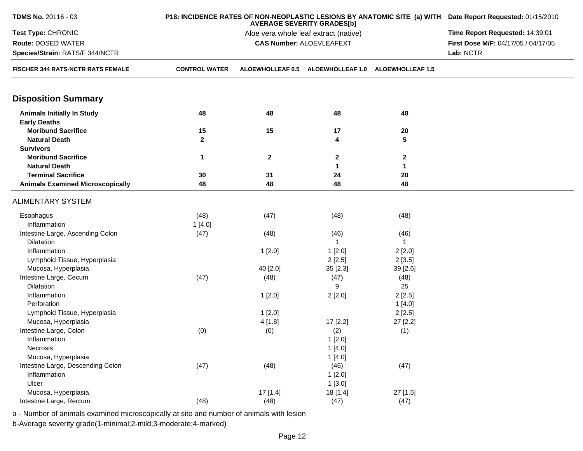| TDMS No. 20116 - 03                                      |                      | P18: INCIDENCE RATES OF NON-NEOPLASTIC LESIONS BY ANATOMIC SITE (a) WITH Date Report Requested: 01/15/2010 |                                                    |              |                                     |  |
|----------------------------------------------------------|----------------------|------------------------------------------------------------------------------------------------------------|----------------------------------------------------|--------------|-------------------------------------|--|
| Test Type: CHRONIC                                       |                      | <b>AVERAGE SEVERITY GRADES[b]</b><br>Aloe vera whole leaf extract (native)                                 |                                                    |              |                                     |  |
| Route: DOSED WATER                                       |                      |                                                                                                            | <b>CAS Number: ALOEVLEAFEXT</b>                    |              | First Dose M/F: 04/17/05 / 04/17/05 |  |
| Species/Strain: RATS/F 344/NCTR                          |                      |                                                                                                            |                                                    |              | Lab: NCTR                           |  |
| FISCHER 344 RATS-NCTR RATS FEMALE                        | <b>CONTROL WATER</b> |                                                                                                            | ALOEWHOLLEAF 0.5 ALOEWHOLLEAF 1.0 ALOEWHOLLEAF 1.5 |              |                                     |  |
| <b>Disposition Summary</b>                               |                      |                                                                                                            |                                                    |              |                                     |  |
| <b>Animals Initially In Study</b><br><b>Early Deaths</b> | 48                   | 48                                                                                                         | 48                                                 | 48           |                                     |  |
| <b>Moribund Sacrifice</b>                                | 15                   | 15                                                                                                         | 17                                                 | 20           |                                     |  |
| <b>Natural Death</b>                                     | $\mathbf{2}$         |                                                                                                            | 4                                                  | 5            |                                     |  |
| <b>Survivors</b>                                         |                      |                                                                                                            |                                                    |              |                                     |  |
| <b>Moribund Sacrifice</b>                                | 1                    | $\mathbf{2}$                                                                                               | $\mathbf{2}$                                       | $\mathbf 2$  |                                     |  |
| <b>Natural Death</b>                                     |                      |                                                                                                            | $\mathbf 1$                                        | $\mathbf{1}$ |                                     |  |
| <b>Terminal Sacrifice</b>                                | 30                   | 31                                                                                                         | 24                                                 | 20           |                                     |  |
| <b>Animals Examined Microscopically</b>                  | 48                   | 48                                                                                                         | 48                                                 | 48           |                                     |  |
| <b>ALIMENTARY SYSTEM</b>                                 |                      |                                                                                                            |                                                    |              |                                     |  |
| Esophagus                                                | (48)                 | (47)                                                                                                       | (48)                                               | (48)         |                                     |  |
| Inflammation                                             | 1[4.0]               |                                                                                                            |                                                    |              |                                     |  |
| Intestine Large, Ascending Colon                         | (47)                 | (48)                                                                                                       | (46)                                               | (46)         |                                     |  |
| Dilatation                                               |                      |                                                                                                            | $\overline{1}$                                     | $\mathbf{1}$ |                                     |  |
| Inflammation                                             |                      | 1[2.0]                                                                                                     | 1[2.0]                                             | 2[2.0]       |                                     |  |
| Lymphoid Tissue, Hyperplasia                             |                      |                                                                                                            | 2[2.5]                                             | 2[3.5]       |                                     |  |
| Mucosa, Hyperplasia                                      |                      | 40 [2.0]                                                                                                   | 35 [2.3]                                           | 39 [2.6]     |                                     |  |
| Intestine Large, Cecum                                   | (47)                 | (48)                                                                                                       | (47)                                               | (48)         |                                     |  |
| Dilatation                                               |                      |                                                                                                            | 9                                                  | 25           |                                     |  |
| Inflammation                                             |                      | 1[2.0]                                                                                                     | 2[2.0]                                             | 2[2.5]       |                                     |  |
| Perforation                                              |                      |                                                                                                            |                                                    | 1[4.0]       |                                     |  |
| Lymphoid Tissue, Hyperplasia                             |                      | 1[2.0]                                                                                                     |                                                    | 2[2.5]       |                                     |  |
| Mucosa, Hyperplasia                                      |                      | 4 [1.8]                                                                                                    | 17 [2.2]                                           | 27 [2.2]     |                                     |  |
| Intestine Large, Colon                                   | (0)                  | (0)                                                                                                        | (2)                                                | (1)          |                                     |  |
| Inflammation                                             |                      |                                                                                                            | 1[2.0]                                             |              |                                     |  |
| Necrosis                                                 |                      |                                                                                                            | 1[4.0]                                             |              |                                     |  |
| Mucosa, Hyperplasia                                      |                      |                                                                                                            | 1[4.0]                                             |              |                                     |  |
| Intestine Large, Descending Colon                        | (47)                 | (48)                                                                                                       | (46)                                               | (47)         |                                     |  |
| Inflammation                                             |                      |                                                                                                            | 1[2.0]                                             |              |                                     |  |
| Ulcer                                                    |                      |                                                                                                            | 1[3.0]                                             |              |                                     |  |
| Mucosa, Hyperplasia                                      |                      | 17 [1.4]                                                                                                   | 18 [1.4]                                           | 27 [1.5]     |                                     |  |
| Intestine Large, Rectum                                  | (48)                 | (48)                                                                                                       | (47)                                               | (47)         |                                     |  |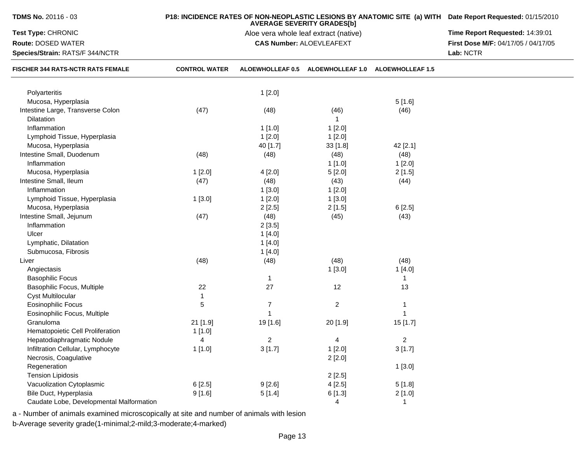| TDMS No. 20116 - 03                                                         |                      | P18: INCIDENCE RATES OF NON-NEOPLASTIC LESIONS BY ANATOMIC SITE (a) WITH Date Report Requested: 01/15/2010 |                                   |                         |                                     |
|-----------------------------------------------------------------------------|----------------------|------------------------------------------------------------------------------------------------------------|-----------------------------------|-------------------------|-------------------------------------|
| Test Type: CHRONIC                                                          |                      | Aloe vera whole leaf extract (native)                                                                      | Time Report Requested: 14:39:01   |                         |                                     |
| Route: DOSED WATER                                                          |                      |                                                                                                            | <b>CAS Number: ALOEVLEAFEXT</b>   |                         | First Dose M/F: 04/17/05 / 04/17/05 |
| Species/Strain: RATS/F 344/NCTR<br><b>FISCHER 344 RATS-NCTR RATS FEMALE</b> |                      |                                                                                                            | Lab: NCTR                         |                         |                                     |
|                                                                             | <b>CONTROL WATER</b> | ALOEWHOLLEAF 0.5                                                                                           | ALOEWHOLLEAF 1.0 ALOEWHOLLEAF 1.5 |                         |                                     |
| Polyarteritis                                                               |                      | 1[2.0]                                                                                                     |                                   |                         |                                     |
| Mucosa, Hyperplasia                                                         |                      |                                                                                                            |                                   | 5[1.6]                  |                                     |
| Intestine Large, Transverse Colon                                           | (47)                 | (48)                                                                                                       | (46)                              | (46)                    |                                     |
| Dilatation                                                                  |                      |                                                                                                            | $\mathbf{1}$                      |                         |                                     |
| Inflammation                                                                |                      | 1[1.0]                                                                                                     | 1[2.0]                            |                         |                                     |
| Lymphoid Tissue, Hyperplasia                                                |                      | 1[2.0]                                                                                                     | 1[2.0]                            |                         |                                     |
| Mucosa, Hyperplasia                                                         |                      | 40 [1.7]                                                                                                   | 33[1.8]                           | 42 [2.1]                |                                     |
| Intestine Small, Duodenum                                                   | (48)                 | (48)                                                                                                       | (48)                              | (48)                    |                                     |
| Inflammation                                                                |                      |                                                                                                            | 1[1.0]                            | 1[2.0]                  |                                     |
| Mucosa, Hyperplasia                                                         | 1[2.0]               | 4[2.0]                                                                                                     | 5[2.0]                            | 2[1.5]                  |                                     |
| Intestine Small, Ileum                                                      | (47)                 | (48)                                                                                                       | (43)                              | (44)                    |                                     |
| Inflammation                                                                |                      | 1[3.0]                                                                                                     | 1[2.0]                            |                         |                                     |
| Lymphoid Tissue, Hyperplasia                                                | 1[3.0]               | 1[2.0]                                                                                                     | 1[3.0]                            |                         |                                     |
| Mucosa, Hyperplasia                                                         |                      | 2[2.5]                                                                                                     | 2[1.5]                            | 6[2.5]                  |                                     |
| Intestine Small, Jejunum                                                    | (47)                 | (48)                                                                                                       | (45)                              | (43)                    |                                     |
| Inflammation                                                                |                      | 2[3.5]                                                                                                     |                                   |                         |                                     |
| Ulcer                                                                       |                      | 1[4.0]                                                                                                     |                                   |                         |                                     |
| Lymphatic, Dilatation                                                       |                      | 1[4.0]                                                                                                     |                                   |                         |                                     |
| Submucosa, Fibrosis                                                         |                      | 1[4.0]                                                                                                     |                                   |                         |                                     |
| Liver                                                                       | (48)                 | (48)                                                                                                       | (48)                              | (48)                    |                                     |
| Angiectasis                                                                 |                      |                                                                                                            | 1[3.0]                            | 1[4.0]                  |                                     |
| <b>Basophilic Focus</b>                                                     |                      | $\mathbf{1}$                                                                                               |                                   | 1                       |                                     |
| Basophilic Focus, Multiple                                                  | 22                   | 27                                                                                                         | 12                                | 13                      |                                     |
| <b>Cyst Multilocular</b>                                                    |                      |                                                                                                            |                                   |                         |                                     |
| <b>Eosinophilic Focus</b>                                                   | 5                    | $\overline{7}$                                                                                             | $\overline{2}$                    | 1                       |                                     |
| Eosinophilic Focus, Multiple                                                |                      | 1                                                                                                          |                                   | 1                       |                                     |
| Granuloma                                                                   | 21 [1.9]             | 19 [1.6]                                                                                                   | 20 [1.9]                          | 15 [1.7]                |                                     |
| Hematopoietic Cell Proliferation                                            | 1 [1.0]              |                                                                                                            |                                   |                         |                                     |
| Hepatodiaphragmatic Nodule                                                  | 4                    | $\overline{\mathbf{c}}$                                                                                    | 4                                 | $\overline{\mathbf{c}}$ |                                     |
| Infiltration Cellular, Lymphocyte                                           | 1[1.0]               | 3[1.7]                                                                                                     | 1[2.0]                            | 3[1.7]                  |                                     |
| Necrosis, Coagulative                                                       |                      |                                                                                                            | 2[2.0]                            |                         |                                     |
| Regeneration                                                                |                      |                                                                                                            |                                   | 1[3.0]                  |                                     |
| <b>Tension Lipidosis</b>                                                    |                      |                                                                                                            | 2[2.5]                            |                         |                                     |
| Vacuolization Cytoplasmic                                                   | 6[2.5]               | 9[2.6]                                                                                                     | 4[2.5]                            | 5[1.8]                  |                                     |
| Bile Duct, Hyperplasia                                                      | 9[1.6]               | 5[1.4]                                                                                                     | 6[1.3]                            | 2[1.0]                  |                                     |
| Caudate Lobe, Developmental Malformation                                    |                      |                                                                                                            | 4                                 | $\mathbf{1}$            |                                     |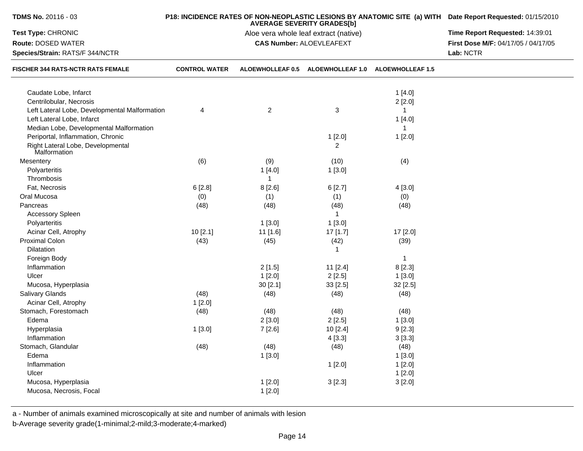| TDMS No. 20116 - 03                               |                      | <b>AVERAGE SEVERITY GRADES[b]</b>     | P18: INCIDENCE RATES OF NON-NEOPLASTIC LESIONS BY ANATOMIC SITE (a) WITH Date Report Requested: 01/15/2010 |                         |                                     |
|---------------------------------------------------|----------------------|---------------------------------------|------------------------------------------------------------------------------------------------------------|-------------------------|-------------------------------------|
| Test Type: CHRONIC                                |                      | Aloe vera whole leaf extract (native) | Time Report Requested: 14:39:01                                                                            |                         |                                     |
| Route: DOSED WATER                                |                      |                                       | <b>CAS Number: ALOEVLEAFEXT</b>                                                                            |                         | First Dose M/F: 04/17/05 / 04/17/05 |
| Species/Strain: RATS/F 344/NCTR                   |                      |                                       | Lab: NCTR                                                                                                  |                         |                                     |
| FISCHER 344 RATS-NCTR RATS FEMALE                 | <b>CONTROL WATER</b> | <b>ALOEWHOLLEAF 0.5</b>               | <b>ALOEWHOLLEAF 1.0</b>                                                                                    | <b>ALOEWHOLLEAF 1.5</b> |                                     |
| Caudate Lobe, Infarct                             |                      |                                       |                                                                                                            | 1[4.0]                  |                                     |
| Centrilobular, Necrosis                           |                      |                                       |                                                                                                            | 2[2.0]                  |                                     |
| Left Lateral Lobe, Developmental Malformation     | 4                    | $\overline{2}$                        | 3                                                                                                          | $\mathbf{1}$            |                                     |
| Left Lateral Lobe, Infarct                        |                      |                                       |                                                                                                            | 1[4.0]                  |                                     |
| Median Lobe, Developmental Malformation           |                      |                                       |                                                                                                            | 1                       |                                     |
| Periportal, Inflammation, Chronic                 |                      |                                       | 1[2.0]                                                                                                     | 1[2.0]                  |                                     |
| Right Lateral Lobe, Developmental<br>Malformation |                      |                                       | $\overline{2}$                                                                                             |                         |                                     |
| Mesentery                                         | (6)                  | (9)                                   | (10)                                                                                                       | (4)                     |                                     |
| Polyarteritis                                     |                      | 1[4.0]                                | 1[3.0]                                                                                                     |                         |                                     |
| Thrombosis                                        |                      | 1                                     |                                                                                                            |                         |                                     |
| Fat, Necrosis                                     | 6[2.8]               | 8[2.6]                                | 6[2.7]                                                                                                     | 4[3.0]                  |                                     |
| Oral Mucosa                                       | (0)                  | (1)                                   | (1)                                                                                                        | (0)                     |                                     |
| Pancreas                                          | (48)                 | (48)                                  | (48)                                                                                                       | (48)                    |                                     |
| Accessory Spleen                                  |                      |                                       | $\mathbf{1}$                                                                                               |                         |                                     |
| Polyarteritis                                     |                      | 1[3.0]                                | 1[3.0]                                                                                                     |                         |                                     |
| Acinar Cell, Atrophy                              | 10[2.1]              | 11 [1.6]                              | 17 [1.7]                                                                                                   | 17 [2.0]                |                                     |
| Proximal Colon                                    | (43)                 | (45)                                  | (42)                                                                                                       | (39)                    |                                     |
| Dilatation                                        |                      |                                       | 1                                                                                                          |                         |                                     |
| Foreign Body                                      |                      |                                       |                                                                                                            | $\mathbf{1}$            |                                     |
| Inflammation                                      |                      | 2[1.5]                                | 11 [2.4]                                                                                                   | 8[2.3]                  |                                     |
| Ulcer                                             |                      | 1[2.0]                                | 2[2.5]                                                                                                     | 1[3.0]                  |                                     |
| Mucosa, Hyperplasia                               |                      | 30[2.1]                               | 33 [2.5]                                                                                                   | 32 [2.5]                |                                     |
| Salivary Glands                                   | (48)                 | (48)                                  | (48)                                                                                                       | (48)                    |                                     |
| Acinar Cell, Atrophy                              | 1[2.0]               |                                       |                                                                                                            |                         |                                     |
| Stomach, Forestomach                              | (48)                 | (48)                                  | (48)                                                                                                       | (48)                    |                                     |
| Edema                                             |                      | 2[3.0]                                | 2[2.5]                                                                                                     | 1[3.0]                  |                                     |
| Hyperplasia                                       | 1[3.0]               | 7 [2.6]                               | 10 [2.4]                                                                                                   | 9[2.3]                  |                                     |
| Inflammation                                      |                      |                                       | 4[3.3]                                                                                                     | 3[3.3]                  |                                     |
| Stomach, Glandular                                | (48)                 | (48)                                  | (48)                                                                                                       | (48)                    |                                     |
| Edema                                             |                      | 1[3.0]                                |                                                                                                            | 1[3.0]                  |                                     |
| Inflammation                                      |                      |                                       | 1[2.0]                                                                                                     | 1[2.0]                  |                                     |
| Ulcer                                             |                      |                                       |                                                                                                            | 1[2.0]                  |                                     |
| Mucosa, Hyperplasia                               |                      | 1[2.0]                                | 3[2.3]                                                                                                     | 3[2.0]                  |                                     |
| Mucosa, Necrosis, Focal                           |                      | 1[2.0]                                |                                                                                                            |                         |                                     |
|                                                   |                      |                                       |                                                                                                            |                         |                                     |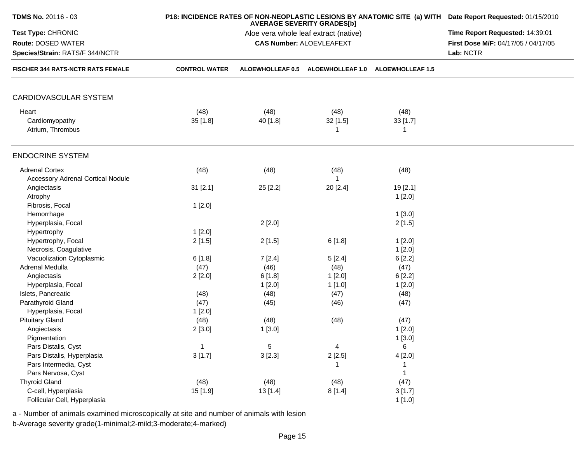| <b>TDMS No. 20116 - 03</b>                                           |                      | P18: INCIDENCE RATES OF NON-NEOPLASTIC LESIONS BY ANATOMIC SITE (a) WITH Date Report Requested: 01/15/2010<br><b>AVERAGE SEVERITY GRADES[b]</b> |                                                                          |                         |                                     |  |
|----------------------------------------------------------------------|----------------------|-------------------------------------------------------------------------------------------------------------------------------------------------|--------------------------------------------------------------------------|-------------------------|-------------------------------------|--|
| Test Type: CHRONIC                                                   |                      | Time Report Requested: 14:39:01                                                                                                                 |                                                                          |                         |                                     |  |
| Route: DOSED WATER                                                   |                      |                                                                                                                                                 | Aloe vera whole leaf extract (native)<br><b>CAS Number: ALOEVLEAFEXT</b> |                         | First Dose M/F: 04/17/05 / 04/17/05 |  |
| Species/Strain: RATS/F 344/NCTR<br>FISCHER 344 RATS-NCTR RATS FEMALE |                      |                                                                                                                                                 | Lab: NCTR                                                                |                         |                                     |  |
|                                                                      | <b>CONTROL WATER</b> | <b>ALOEWHOLLEAF 0.5</b>                                                                                                                         | <b>ALOEWHOLLEAF 1.0</b>                                                  | <b>ALOEWHOLLEAF 1.5</b> |                                     |  |
| CARDIOVASCULAR SYSTEM                                                |                      |                                                                                                                                                 |                                                                          |                         |                                     |  |
| Heart                                                                | (48)                 | (48)                                                                                                                                            | (48)                                                                     | (48)                    |                                     |  |
| Cardiomyopathy                                                       | 35[1.8]              | 40 [1.8]                                                                                                                                        | $32$ [1.5]                                                               | 33[1.7]                 |                                     |  |
| Atrium, Thrombus                                                     |                      |                                                                                                                                                 |                                                                          | 1                       |                                     |  |
| <b>ENDOCRINE SYSTEM</b>                                              |                      |                                                                                                                                                 |                                                                          |                         |                                     |  |
| <b>Adrenal Cortex</b>                                                | (48)                 | (48)                                                                                                                                            | (48)                                                                     | (48)                    |                                     |  |
| <b>Accessory Adrenal Cortical Nodule</b>                             |                      |                                                                                                                                                 |                                                                          |                         |                                     |  |
| Angiectasis                                                          | 31 [2.1]             | 25 [2.2]                                                                                                                                        | 20 [2.4]                                                                 | 19 [2.1]                |                                     |  |
| Atrophy                                                              |                      |                                                                                                                                                 |                                                                          | 1[2.0]                  |                                     |  |
| Fibrosis, Focal                                                      | 1[2.0]               |                                                                                                                                                 |                                                                          |                         |                                     |  |
| Hemorrhage                                                           |                      |                                                                                                                                                 |                                                                          | 1[3.0]                  |                                     |  |
| Hyperplasia, Focal                                                   |                      | 2[2.0]                                                                                                                                          |                                                                          | 2[1.5]                  |                                     |  |
| Hypertrophy                                                          | 1[2.0]               |                                                                                                                                                 |                                                                          |                         |                                     |  |
| Hypertrophy, Focal                                                   | 2[1.5]               | 2[1.5]                                                                                                                                          | 6[1.8]                                                                   | 1[2.0]                  |                                     |  |
| Necrosis, Coagulative                                                |                      |                                                                                                                                                 |                                                                          | 1[2.0]                  |                                     |  |
| Vacuolization Cytoplasmic                                            | 6[1.8]               | 7[2.4]                                                                                                                                          | 5[2.4]                                                                   | 6[2.2]                  |                                     |  |
| Adrenal Medulla                                                      | (47)                 | (46)                                                                                                                                            | (48)                                                                     | (47)                    |                                     |  |
| Angiectasis                                                          |                      | 6[1.8]                                                                                                                                          | 1[2.0]                                                                   | 6[2.2]                  |                                     |  |
| Hyperplasia, Focal                                                   | 2[2.0]               | 1[2.0]                                                                                                                                          | 1[1.0]                                                                   | 1[2.0]                  |                                     |  |
| Islets, Pancreatic                                                   | (48)                 | (48)                                                                                                                                            | (47)                                                                     | (48)                    |                                     |  |
| Parathyroid Gland                                                    | (47)                 | (45)                                                                                                                                            | (46)                                                                     | (47)                    |                                     |  |
| Hyperplasia, Focal                                                   | 1[2.0]               |                                                                                                                                                 |                                                                          |                         |                                     |  |
| <b>Pituitary Gland</b>                                               | (48)                 | (48)                                                                                                                                            | (48)                                                                     | (47)                    |                                     |  |
| Angiectasis                                                          | 2[3.0]               | 1[3.0]                                                                                                                                          |                                                                          | 1[2.0]                  |                                     |  |
| Pigmentation                                                         |                      |                                                                                                                                                 |                                                                          | 1[3.0]                  |                                     |  |
| Pars Distalis, Cyst                                                  | 1                    | 5                                                                                                                                               | 4                                                                        | 6                       |                                     |  |
| Pars Distalis, Hyperplasia                                           | 3[1.7]               | 3[2.3]                                                                                                                                          | 2[2.5]                                                                   | 4[2.0]                  |                                     |  |
| Pars Intermedia, Cyst                                                |                      |                                                                                                                                                 |                                                                          |                         |                                     |  |
| Pars Nervosa, Cyst                                                   |                      |                                                                                                                                                 |                                                                          |                         |                                     |  |
| <b>Thyroid Gland</b>                                                 | (48)                 | (48)                                                                                                                                            | (48)                                                                     | (47)                    |                                     |  |
| C-cell, Hyperplasia                                                  | 15 [1.9]             |                                                                                                                                                 |                                                                          |                         |                                     |  |
| Follicular Cell, Hyperplasia                                         |                      | 13 [1.4]                                                                                                                                        | 8[1.4]                                                                   | 3[1.7]                  |                                     |  |
|                                                                      |                      |                                                                                                                                                 |                                                                          | 1[1.0]                  |                                     |  |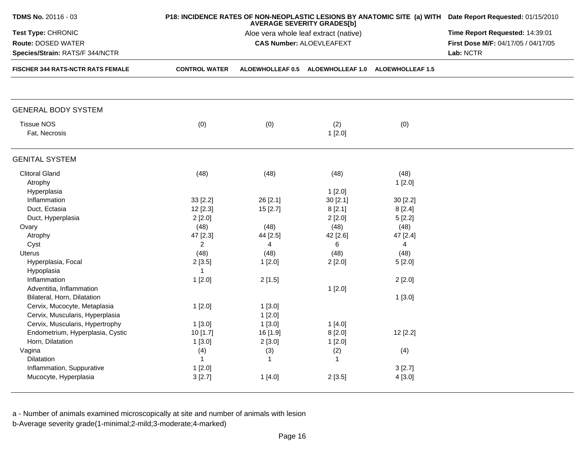| TDMS No. 20116 - 03                                                                            |                                    | P18: INCIDENCE RATES OF NON-NEOPLASTIC LESIONS BY ANATOMIC SITE (a) WITH Date Report Requested: 01/15/2010 |                                   |                                    |  |
|------------------------------------------------------------------------------------------------|------------------------------------|------------------------------------------------------------------------------------------------------------|-----------------------------------|------------------------------------|--|
| Test Type: CHRONIC<br>Route: DOSED WATER<br>Species/Strain: RATS/F 344/NCTR                    |                                    | Time Report Requested: 14:39:01<br>First Dose M/F: 04/17/05 / 04/17/05<br>Lab: NCTR                        |                                   |                                    |  |
| <b>FISCHER 344 RATS-NCTR RATS FEMALE</b>                                                       | <b>CONTROL WATER</b>               |                                                                                                            | ALOEWHOLLEAF 0.5 ALOEWHOLLEAF 1.0 | <b>ALOEWHOLLEAF 1.5</b>            |  |
| <b>GENERAL BODY SYSTEM</b>                                                                     |                                    |                                                                                                            |                                   |                                    |  |
| <b>Tissue NOS</b><br>Fat, Necrosis                                                             | (0)                                | (0)                                                                                                        | (2)<br>1[2.0]                     | (0)                                |  |
| <b>GENITAL SYSTEM</b>                                                                          |                                    |                                                                                                            |                                   |                                    |  |
| <b>Clitoral Gland</b><br>Atrophy                                                               | (48)                               | (48)                                                                                                       | (48)                              | (48)<br>1[2.0]                     |  |
| Hyperplasia<br>Inflammation                                                                    | 33 [2.2]                           | 26 [2.1]                                                                                                   | 1[2.0]<br>30[2.1]                 | 30 [2.2]                           |  |
| Duct, Ectasia<br>Duct, Hyperplasia                                                             | 12 [2.3]<br>2[2.0]                 | 15[2.7]                                                                                                    | 8[2.1]<br>2[2.0]                  | 8[2.4]<br>5[2.2]                   |  |
| Ovary<br>Atrophy<br>Cyst                                                                       | (48)<br>47 [2.3]<br>$\overline{2}$ | (48)<br>44 [2.5]<br>4                                                                                      | (48)<br>42 [2.6]<br>6             | (48)<br>47 [2.4]<br>$\overline{4}$ |  |
| <b>Uterus</b><br>Hyperplasia, Focal                                                            | (48)<br>2[3.5]                     | (48)<br>1[2.0]                                                                                             | (48)<br>2[2.0]                    | (48)<br>5[2.0]                     |  |
| Hypoplasia<br>Inflammation<br>Adventitia, Inflammation                                         | $\mathbf{1}$<br>1[2.0]             | 2[1.5]                                                                                                     | 1[2.0]                            | 2[2.0]                             |  |
| Bilateral, Horn, Dilatation<br>Cervix, Mucocyte, Metaplasia<br>Cervix, Muscularis, Hyperplasia | 1[2.0]                             | 1[3.0]<br>1[2.0]                                                                                           |                                   | 1[3.0]                             |  |
| Cervix, Muscularis, Hypertrophy<br>Endometrium, Hyperplasia, Cystic<br>Horn, Dilatation        | 1[3.0]<br>10 [1.7]<br>1[3.0]       | 1[3.0]<br>16 [1.9]<br>2[3.0]                                                                               | 1[4.0]<br>8[2.0]<br>1[2.0]        | 12 [2.2]                           |  |
| Vagina<br><b>Dilatation</b>                                                                    | (4)<br>$\mathbf{1}$                | (3)<br>$\mathbf{1}$                                                                                        | (2)<br>$\mathbf{1}$               | (4)                                |  |
| Inflammation, Suppurative<br>Mucocyte, Hyperplasia                                             | 1[2.0]<br>3[2.7]                   | 1[4.0]                                                                                                     | 2[3.5]                            | 3[2.7]<br>4 [3.0]                  |  |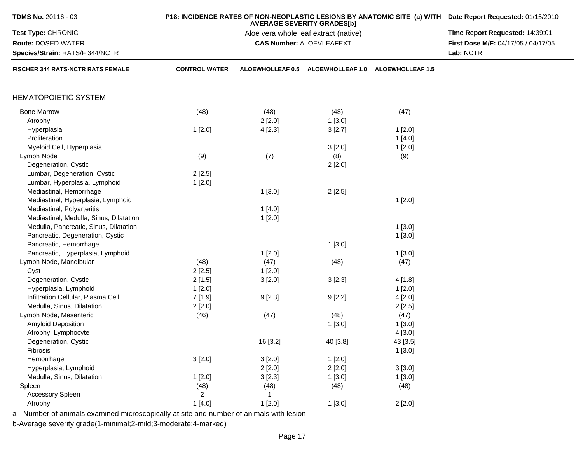| <b>TDMS No. 20116 - 03</b>                                                               |                      | P18: INCIDENCE RATES OF NON-NEOPLASTIC LESIONS BY ANATOMIC SITE (a) WITH Date Report Requested: 01/15/2010 |                                                                            |                                   |                                     |
|------------------------------------------------------------------------------------------|----------------------|------------------------------------------------------------------------------------------------------------|----------------------------------------------------------------------------|-----------------------------------|-------------------------------------|
| Test Type: CHRONIC                                                                       |                      |                                                                                                            | <b>AVERAGE SEVERITY GRADES[b]</b><br>Aloe vera whole leaf extract (native) |                                   | Time Report Requested: 14:39:01     |
| Route: DOSED WATER                                                                       |                      |                                                                                                            | <b>CAS Number: ALOEVLEAFEXT</b>                                            |                                   | First Dose M/F: 04/17/05 / 04/17/05 |
| Species/Strain: RATS/F 344/NCTR<br><b>FISCHER 344 RATS-NCTR RATS FEMALE</b>              |                      |                                                                                                            | Lab: NCTR                                                                  |                                   |                                     |
|                                                                                          | <b>CONTROL WATER</b> | ALOEWHOLLEAF 0.5                                                                                           |                                                                            | ALOEWHOLLEAF 1.0 ALOEWHOLLEAF 1.5 |                                     |
| <b>HEMATOPOIETIC SYSTEM</b>                                                              |                      |                                                                                                            |                                                                            |                                   |                                     |
|                                                                                          |                      |                                                                                                            |                                                                            |                                   |                                     |
| <b>Bone Marrow</b>                                                                       | (48)                 | (48)                                                                                                       | (48)                                                                       | (47)                              |                                     |
| Atrophy                                                                                  |                      | 2[2.0]                                                                                                     | 1[3.0]                                                                     |                                   |                                     |
| Hyperplasia                                                                              | 1[2.0]               | 4[2.3]                                                                                                     | 3[2.7]                                                                     | 1[2.0]                            |                                     |
| Proliferation                                                                            |                      |                                                                                                            |                                                                            | 1[4.0]                            |                                     |
| Myeloid Cell, Hyperplasia                                                                |                      |                                                                                                            | 3[2.0]                                                                     | 1[2.0]                            |                                     |
| Lymph Node                                                                               | (9)                  | (7)                                                                                                        | (8)                                                                        | (9)                               |                                     |
| Degeneration, Cystic                                                                     |                      |                                                                                                            | 2[2.0]                                                                     |                                   |                                     |
| Lumbar, Degeneration, Cystic                                                             | 2[2.5]               |                                                                                                            |                                                                            |                                   |                                     |
| Lumbar, Hyperplasia, Lymphoid                                                            | 1[2.0]               |                                                                                                            |                                                                            |                                   |                                     |
| Mediastinal, Hemorrhage                                                                  |                      | 1[3.0]                                                                                                     | 2[2.5]                                                                     |                                   |                                     |
| Mediastinal, Hyperplasia, Lymphoid                                                       |                      |                                                                                                            |                                                                            | 1[2.0]                            |                                     |
| Mediastinal, Polyarteritis                                                               |                      | 1[4.0]                                                                                                     |                                                                            |                                   |                                     |
| Mediastinal, Medulla, Sinus, Dilatation                                                  |                      | 1[2.0]                                                                                                     |                                                                            |                                   |                                     |
| Medulla, Pancreatic, Sinus, Dilatation                                                   |                      |                                                                                                            |                                                                            | 1[3.0]                            |                                     |
| Pancreatic, Degeneration, Cystic                                                         |                      |                                                                                                            |                                                                            | 1[3.0]                            |                                     |
| Pancreatic, Hemorrhage                                                                   |                      |                                                                                                            | 1[3.0]                                                                     |                                   |                                     |
| Pancreatic, Hyperplasia, Lymphoid                                                        |                      | 1[2.0]                                                                                                     |                                                                            | 1[3.0]                            |                                     |
| Lymph Node, Mandibular                                                                   | (48)                 | (47)                                                                                                       | (48)                                                                       | (47)                              |                                     |
| Cyst                                                                                     | 2[2.5]               | 1[2.0]                                                                                                     |                                                                            |                                   |                                     |
|                                                                                          |                      |                                                                                                            |                                                                            |                                   |                                     |
| Degeneration, Cystic                                                                     | 2[1.5]               | 3[2.0]                                                                                                     | 3[2.3]                                                                     | 4 [1.8]                           |                                     |
| Hyperplasia, Lymphoid                                                                    | 1[2.0]               |                                                                                                            |                                                                            | 1[2.0]                            |                                     |
| Infiltration Cellular, Plasma Cell                                                       | 7 [1.9]              | 9[2.3]                                                                                                     | 9[2.2]                                                                     | 4[2.0]                            |                                     |
| Medulla, Sinus, Dilatation                                                               | 2[2.0]               |                                                                                                            |                                                                            | 2[2.5]                            |                                     |
| Lymph Node, Mesenteric                                                                   | (46)                 | (47)                                                                                                       | (48)                                                                       | (47)                              |                                     |
| Amyloid Deposition                                                                       |                      |                                                                                                            | 1[3.0]                                                                     | 1[3.0]                            |                                     |
| Atrophy, Lymphocyte                                                                      |                      |                                                                                                            |                                                                            | 4[3.0]                            |                                     |
| Degeneration, Cystic                                                                     |                      | 16 [3.2]                                                                                                   | 40 [3.8]                                                                   | 43 [3.5]                          |                                     |
| Fibrosis                                                                                 |                      |                                                                                                            |                                                                            | 1[3.0]                            |                                     |
| Hemorrhage                                                                               | 3[2.0]               | 3[2.0]                                                                                                     | 1[2.0]                                                                     |                                   |                                     |
| Hyperplasia, Lymphoid                                                                    |                      | 2[2.0]                                                                                                     | 2[2.0]                                                                     | 3[3.0]                            |                                     |
| Medulla, Sinus, Dilatation                                                               | 1[2.0]               | 3[2.3]                                                                                                     | 1[3.0]                                                                     | 1[3.0]                            |                                     |
| Spleen                                                                                   | (48)                 | (48)                                                                                                       | (48)                                                                       | (48)                              |                                     |
| <b>Accessory Spleen</b>                                                                  | $\overline{2}$       | 1                                                                                                          |                                                                            |                                   |                                     |
| Atrophy                                                                                  | 1[4.0]               | 1[2.0]                                                                                                     | 1[3.0]                                                                     | 2[2.0]                            |                                     |
| a - Number of animals examined microscopically at site and number of animals with lesion |                      |                                                                                                            |                                                                            |                                   |                                     |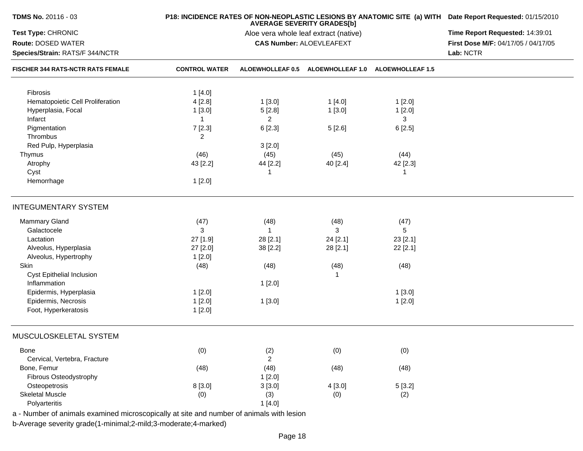| TDMS No. 20116 - 03                      |                      | P18: INCIDENCE RATES OF NON-NEOPLASTIC LESIONS BY ANATOMIC SITE (a) WITH Date Report Requested: 01/15/2010<br><b>AVERAGE SEVERITY GRADES[b]</b> |                                                    |          |                                     |  |  |
|------------------------------------------|----------------------|-------------------------------------------------------------------------------------------------------------------------------------------------|----------------------------------------------------|----------|-------------------------------------|--|--|
| Test Type: CHRONIC                       |                      | Aloe vera whole leaf extract (native)                                                                                                           |                                                    |          |                                     |  |  |
| Route: DOSED WATER                       |                      |                                                                                                                                                 | <b>CAS Number: ALOEVLEAFEXT</b>                    |          | First Dose M/F: 04/17/05 / 04/17/05 |  |  |
| Species/Strain: RATS/F 344/NCTR          |                      |                                                                                                                                                 |                                                    |          |                                     |  |  |
| <b>FISCHER 344 RATS-NCTR RATS FEMALE</b> | <b>CONTROL WATER</b> |                                                                                                                                                 | ALOEWHOLLEAF 0.5 ALOEWHOLLEAF 1.0 ALOEWHOLLEAF 1.5 |          |                                     |  |  |
| Fibrosis                                 | 1[4.0]               |                                                                                                                                                 |                                                    |          |                                     |  |  |
| Hematopoietic Cell Proliferation         | 4[2.8]               | 1[3.0]                                                                                                                                          | 1[4.0]                                             | 1[2.0]   |                                     |  |  |
| Hyperplasia, Focal                       | 1[3.0]               | 5[2.8]                                                                                                                                          | 1[3.0]                                             | 1[2.0]   |                                     |  |  |
| Infarct                                  | $\mathbf{1}$         | $\overline{2}$                                                                                                                                  |                                                    | 3        |                                     |  |  |
|                                          |                      |                                                                                                                                                 |                                                    |          |                                     |  |  |
| Pigmentation<br>Thrombus                 | 7[2.3]               | 6[2.3]                                                                                                                                          | 5[2.6]                                             | 6[2.5]   |                                     |  |  |
|                                          | 2                    |                                                                                                                                                 |                                                    |          |                                     |  |  |
| Red Pulp, Hyperplasia                    |                      | 3[2.0]                                                                                                                                          |                                                    |          |                                     |  |  |
| Thymus                                   | (46)                 | (45)                                                                                                                                            | (45)                                               | (44)     |                                     |  |  |
| Atrophy                                  | 43 [2.2]             | 44 [2.2]                                                                                                                                        | 40 [2.4]                                           | 42 [2.3] |                                     |  |  |
| Cyst                                     |                      | 1                                                                                                                                               |                                                    | 1        |                                     |  |  |
| Hemorrhage                               | 1[2.0]               |                                                                                                                                                 |                                                    |          |                                     |  |  |
| <b>INTEGUMENTARY SYSTEM</b>              |                      |                                                                                                                                                 |                                                    |          |                                     |  |  |
| Mammary Gland                            | (47)                 | (48)                                                                                                                                            | (48)                                               | (47)     |                                     |  |  |
| Galactocele                              | 3                    | $\mathbf{1}$                                                                                                                                    | 3                                                  | 5        |                                     |  |  |
| Lactation                                | 27 [1.9]             | 28 [2.1]                                                                                                                                        | 24 [2.1]                                           | 23 [2.1] |                                     |  |  |
| Alveolus, Hyperplasia                    | 27 [2.0]             | 38 [2.2]                                                                                                                                        | 28 [2.1]                                           | 22 [2.1] |                                     |  |  |
| Alveolus, Hypertrophy                    | 1[2.0]               |                                                                                                                                                 |                                                    |          |                                     |  |  |
| Skin                                     | (48)                 | (48)                                                                                                                                            | (48)                                               | (48)     |                                     |  |  |
| Cyst Epithelial Inclusion                |                      |                                                                                                                                                 |                                                    |          |                                     |  |  |
| Inflammation                             |                      | 1[2.0]                                                                                                                                          |                                                    |          |                                     |  |  |
| Epidermis, Hyperplasia                   | 1[2.0]               |                                                                                                                                                 |                                                    | 1[3.0]   |                                     |  |  |
| Epidermis, Necrosis                      | 1[2.0]               | 1[3.0]                                                                                                                                          |                                                    | 1[2.0]   |                                     |  |  |
| Foot, Hyperkeratosis                     | 1[2.0]               |                                                                                                                                                 |                                                    |          |                                     |  |  |
| MUSCULOSKELETAL SYSTEM                   |                      |                                                                                                                                                 |                                                    |          |                                     |  |  |
| Bone                                     | (0)                  | (2)                                                                                                                                             | (0)                                                | (0)      |                                     |  |  |
| Cervical, Vertebra, Fracture             |                      | $\overline{2}$                                                                                                                                  |                                                    |          |                                     |  |  |
| Bone, Femur                              | (48)                 | (48)                                                                                                                                            | (48)                                               | (48)     |                                     |  |  |
| Fibrous Osteodystrophy                   |                      | 1[2.0]                                                                                                                                          |                                                    |          |                                     |  |  |
| Osteopetrosis                            | 8 [3.0]              | 3[3.0]                                                                                                                                          | 4 [3.0]                                            | 5[3.2]   |                                     |  |  |
| <b>Skeletal Muscle</b>                   | (0)                  | (3)                                                                                                                                             | (0)                                                | (2)      |                                     |  |  |
| Polyarteritis                            |                      | 1[4.0]                                                                                                                                          |                                                    |          |                                     |  |  |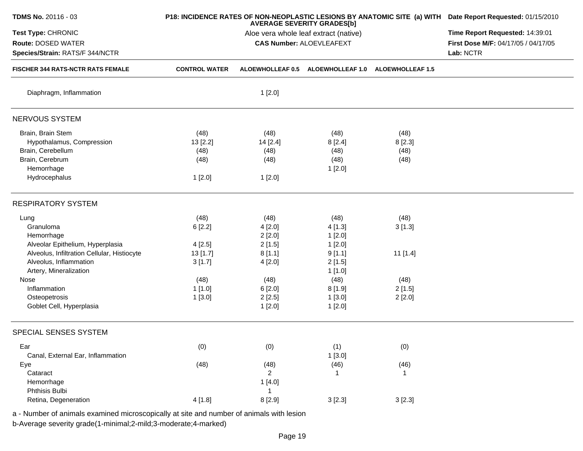| TDMS No. 20116 - 03                                                         |                      | <b>AVERAGE SEVERITY GRADES[b]</b>     | P18: INCIDENCE RATES OF NON-NEOPLASTIC LESIONS BY ANATOMIC SITE (a) WITH Date Report Requested: 01/15/2010 |                         |                                     |
|-----------------------------------------------------------------------------|----------------------|---------------------------------------|------------------------------------------------------------------------------------------------------------|-------------------------|-------------------------------------|
| Test Type: CHRONIC                                                          |                      | Aloe vera whole leaf extract (native) | Time Report Requested: 14:39:01                                                                            |                         |                                     |
| <b>Route: DOSED WATER</b>                                                   |                      |                                       | <b>CAS Number: ALOEVLEAFEXT</b>                                                                            |                         | First Dose M/F: 04/17/05 / 04/17/05 |
| Species/Strain: RATS/F 344/NCTR<br><b>FISCHER 344 RATS-NCTR RATS FEMALE</b> |                      |                                       | Lab: NCTR                                                                                                  |                         |                                     |
|                                                                             | <b>CONTROL WATER</b> | <b>ALOEWHOLLEAF 0.5</b>               | <b>ALOEWHOLLEAF 1.0</b>                                                                                    | <b>ALOEWHOLLEAF 1.5</b> |                                     |
| Diaphragm, Inflammation                                                     |                      | 1[2.0]                                |                                                                                                            |                         |                                     |
| NERVOUS SYSTEM                                                              |                      |                                       |                                                                                                            |                         |                                     |
| Brain, Brain Stem                                                           | (48)                 | (48)                                  | (48)                                                                                                       | (48)                    |                                     |
| Hypothalamus, Compression                                                   | 13 [2.2]             | 14 [2.4]                              | 8[2.4]                                                                                                     | 8 [2.3]                 |                                     |
| Brain, Cerebellum                                                           | (48)                 | (48)                                  | (48)                                                                                                       | (48)                    |                                     |
| Brain, Cerebrum                                                             | (48)                 | (48)                                  | (48)                                                                                                       | (48)                    |                                     |
| Hemorrhage                                                                  |                      |                                       | 1[2.0]                                                                                                     |                         |                                     |
| Hydrocephalus                                                               | 1[2.0]               | 1[2.0]                                |                                                                                                            |                         |                                     |
| <b>RESPIRATORY SYSTEM</b>                                                   |                      |                                       |                                                                                                            |                         |                                     |
| Lung                                                                        | (48)                 | (48)                                  | (48)                                                                                                       | (48)                    |                                     |
| Granuloma                                                                   | 6[2.2]               | 4[2.0]                                | 4[1.3]                                                                                                     | 3[1.3]                  |                                     |
| Hemorrhage                                                                  |                      | 2[2.0]                                | 1[2.0]                                                                                                     |                         |                                     |
| Alveolar Epithelium, Hyperplasia                                            | 4[2.5]               | 2[1.5]                                | 1[2.0]                                                                                                     |                         |                                     |
| Alveolus, Infiltration Cellular, Histiocyte                                 | 13[1.7]              | 8[1.1]                                | 9[1.1]                                                                                                     | $11$ [1.4]              |                                     |
| Alveolus, Inflammation                                                      | 3[1.7]               | 4[2.0]                                | 2[1.5]                                                                                                     |                         |                                     |
| Artery, Mineralization                                                      |                      |                                       | 1[1.0]                                                                                                     |                         |                                     |
| Nose                                                                        | (48)                 | (48)                                  | (48)                                                                                                       | (48)                    |                                     |
| Inflammation                                                                | 1[1.0]               | 6[2.0]                                | 8[1.9]                                                                                                     | 2[1.5]                  |                                     |
| Osteopetrosis                                                               | 1[3.0]               | 2[2.5]                                | 1[3.0]                                                                                                     | 2[2.0]                  |                                     |
| Goblet Cell, Hyperplasia                                                    |                      | 1[2.0]                                | 1[2.0]                                                                                                     |                         |                                     |
| SPECIAL SENSES SYSTEM                                                       |                      |                                       |                                                                                                            |                         |                                     |
| Ear                                                                         | (0)                  | (0)                                   | (1)                                                                                                        | (0)                     |                                     |
| Canal, External Ear, Inflammation                                           |                      |                                       | 1[3.0]                                                                                                     |                         |                                     |
| Eye                                                                         | (48)                 | (48)                                  | (46)                                                                                                       | (46)                    |                                     |
| Cataract                                                                    |                      | $\overline{2}$                        | 1                                                                                                          | 1                       |                                     |
| Hemorrhage                                                                  |                      | 1[4.0]                                |                                                                                                            |                         |                                     |
| Phthisis Bulbi                                                              |                      | 1                                     |                                                                                                            |                         |                                     |
| Retina, Degeneration                                                        | 4[1.8]               | 8 [2.9]                               | 3[2.3]                                                                                                     | 3[2.3]                  |                                     |
|                                                                             |                      |                                       |                                                                                                            |                         |                                     |